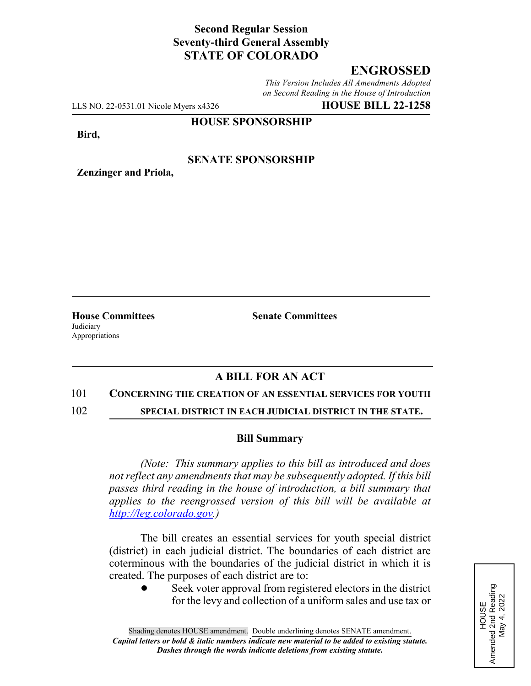# **Second Regular Session Seventy-third General Assembly STATE OF COLORADO**

# **ENGROSSED**

*This Version Includes All Amendments Adopted on Second Reading in the House of Introduction*

LLS NO. 22-0531.01 Nicole Myers x4326 **HOUSE BILL 22-1258**

**Zenzinger and Priola,**

## **HOUSE SPONSORSHIP**

**Bird,**

## **SENATE SPONSORSHIP**

**Judiciary** Appropriations

**House Committees Senate Committees**

## **A BILL FOR AN ACT**

#### 101 **CONCERNING THE CREATION OF AN ESSENTIAL SERVICES FOR YOUTH**

102 **SPECIAL DISTRICT IN EACH JUDICIAL DISTRICT IN THE STATE.**

### **Bill Summary**

*(Note: This summary applies to this bill as introduced and does not reflect any amendments that may be subsequently adopted. If this bill passes third reading in the house of introduction, a bill summary that applies to the reengrossed version of this bill will be available at http://leg.colorado.gov.)*

The bill creates an essential services for youth special district (district) in each judicial district. The boundaries of each district are coterminous with the boundaries of the judicial district in which it is created. The purposes of each district are to:

Seek voter approval from registered electors in the district for the levy and collection of a uniform sales and use tax or

Amended 2nd Reading<br>May 4, 2022 Amended 2nd Reading May 4, 2022 HOUSE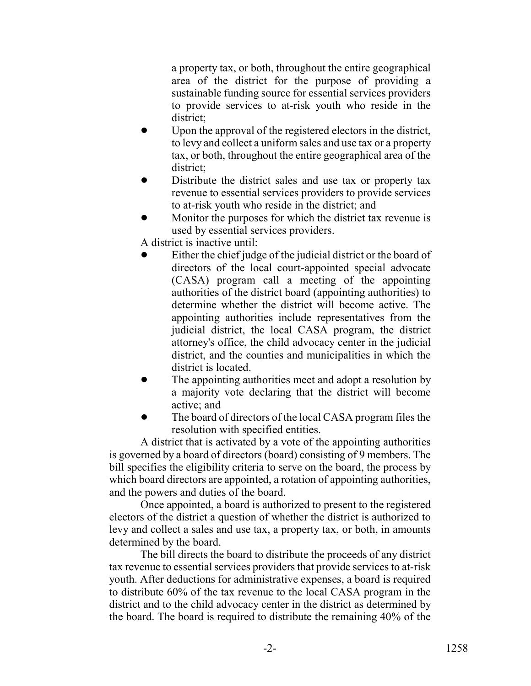a property tax, or both, throughout the entire geographical area of the district for the purpose of providing a sustainable funding source for essential services providers to provide services to at-risk youth who reside in the district;

- Upon the approval of the registered electors in the district, to levy and collect a uniform sales and use tax or a property tax, or both, throughout the entire geographical area of the district;
- Distribute the district sales and use tax or property tax revenue to essential services providers to provide services to at-risk youth who reside in the district; and
- ! Monitor the purposes for which the district tax revenue is used by essential services providers.

A district is inactive until:

- Either the chief judge of the judicial district or the board of directors of the local court-appointed special advocate (CASA) program call a meeting of the appointing authorities of the district board (appointing authorities) to determine whether the district will become active. The appointing authorities include representatives from the judicial district, the local CASA program, the district attorney's office, the child advocacy center in the judicial district, and the counties and municipalities in which the district is located.
- The appointing authorities meet and adopt a resolution by a majority vote declaring that the district will become active; and
- The board of directors of the local CASA program files the resolution with specified entities.

A district that is activated by a vote of the appointing authorities is governed by a board of directors (board) consisting of 9 members. The bill specifies the eligibility criteria to serve on the board, the process by which board directors are appointed, a rotation of appointing authorities, and the powers and duties of the board.

Once appointed, a board is authorized to present to the registered electors of the district a question of whether the district is authorized to levy and collect a sales and use tax, a property tax, or both, in amounts determined by the board.

The bill directs the board to distribute the proceeds of any district tax revenue to essential services providers that provide services to at-risk youth. After deductions for administrative expenses, a board is required to distribute 60% of the tax revenue to the local CASA program in the district and to the child advocacy center in the district as determined by the board. The board is required to distribute the remaining 40% of the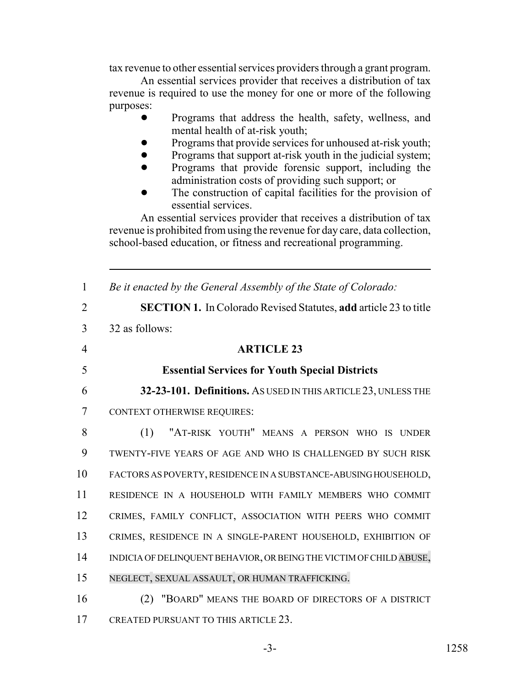tax revenue to other essential services providers through a grant program.

An essential services provider that receives a distribution of tax revenue is required to use the money for one or more of the following purposes:

- ! Programs that address the health, safety, wellness, and mental health of at-risk youth;
- Programs that provide services for unhoused at-risk youth;
- Programs that support at-risk youth in the judicial system;
- ! Programs that provide forensic support, including the administration costs of providing such support; or
- The construction of capital facilities for the provision of essential services.

An essential services provider that receives a distribution of tax revenue is prohibited from using the revenue for day care, data collection, school-based education, or fitness and recreational programming.

 *Be it enacted by the General Assembly of the State of Colorado:* **SECTION 1.** In Colorado Revised Statutes, **add** article 23 to title 32 as follows: **ARTICLE 23 Essential Services for Youth Special Districts 32-23-101. Definitions.** AS USED IN THIS ARTICLE 23, UNLESS THE CONTEXT OTHERWISE REQUIRES: (1) "AT-RISK YOUTH" MEANS A PERSON WHO IS UNDER TWENTY-FIVE YEARS OF AGE AND WHO IS CHALLENGED BY SUCH RISK FACTORS AS POVERTY, RESIDENCE IN A SUBSTANCE-ABUSING HOUSEHOLD, RESIDENCE IN A HOUSEHOLD WITH FAMILY MEMBERS WHO COMMIT CRIMES, FAMILY CONFLICT, ASSOCIATION WITH PEERS WHO COMMIT CRIMES, RESIDENCE IN A SINGLE-PARENT HOUSEHOLD, EXHIBITION OF INDICIA OF DELINQUENT BEHAVIOR, OR BEING THE VICTIM OF CHILD ABUSE, NEGLECT, SEXUAL ASSAULT, OR HUMAN TRAFFICKING. (2) "BOARD" MEANS THE BOARD OF DIRECTORS OF A DISTRICT 17 CREATED PURSUANT TO THIS ARTICLE 23.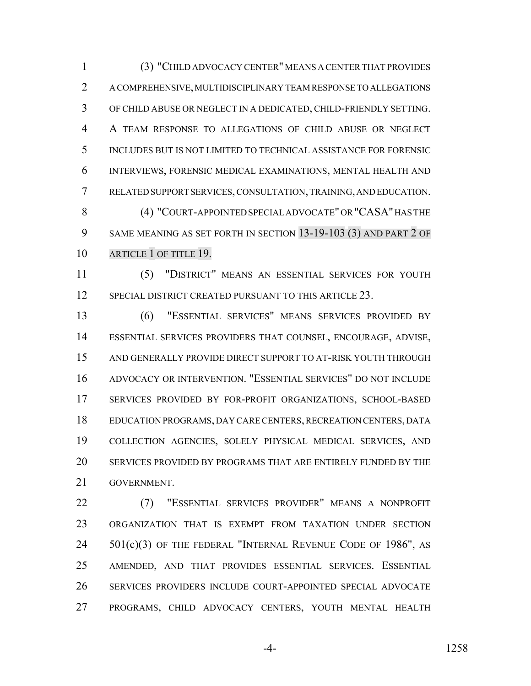(3) "CHILD ADVOCACY CENTER" MEANS A CENTER THAT PROVIDES A COMPREHENSIVE, MULTIDISCIPLINARY TEAM RESPONSE TO ALLEGATIONS OF CHILD ABUSE OR NEGLECT IN A DEDICATED, CHILD-FRIENDLY SETTING. A TEAM RESPONSE TO ALLEGATIONS OF CHILD ABUSE OR NEGLECT INCLUDES BUT IS NOT LIMITED TO TECHNICAL ASSISTANCE FOR FORENSIC INTERVIEWS, FORENSIC MEDICAL EXAMINATIONS, MENTAL HEALTH AND RELATED SUPPORT SERVICES, CONSULTATION, TRAINING, AND EDUCATION. (4) "COURT-APPOINTED SPECIAL ADVOCATE" OR "CASA" HAS THE SAME MEANING AS SET FORTH IN SECTION 13-19-103 (3) AND PART 2 OF 10 ARTICLE 1 OF TITLE 19.

 (5) "DISTRICT" MEANS AN ESSENTIAL SERVICES FOR YOUTH 12 SPECIAL DISTRICT CREATED PURSUANT TO THIS ARTICLE 23.

 (6) "ESSENTIAL SERVICES" MEANS SERVICES PROVIDED BY ESSENTIAL SERVICES PROVIDERS THAT COUNSEL, ENCOURAGE, ADVISE, AND GENERALLY PROVIDE DIRECT SUPPORT TO AT-RISK YOUTH THROUGH ADVOCACY OR INTERVENTION. "ESSENTIAL SERVICES" DO NOT INCLUDE SERVICES PROVIDED BY FOR-PROFIT ORGANIZATIONS, SCHOOL-BASED EDUCATION PROGRAMS, DAY CARE CENTERS, RECREATION CENTERS, DATA COLLECTION AGENCIES, SOLELY PHYSICAL MEDICAL SERVICES, AND SERVICES PROVIDED BY PROGRAMS THAT ARE ENTIRELY FUNDED BY THE GOVERNMENT.

 (7) "ESSENTIAL SERVICES PROVIDER" MEANS A NONPROFIT ORGANIZATION THAT IS EXEMPT FROM TAXATION UNDER SECTION 24 501(c)(3) OF THE FEDERAL "INTERNAL REVENUE CODE OF 1986", AS AMENDED, AND THAT PROVIDES ESSENTIAL SERVICES. ESSENTIAL SERVICES PROVIDERS INCLUDE COURT-APPOINTED SPECIAL ADVOCATE PROGRAMS, CHILD ADVOCACY CENTERS, YOUTH MENTAL HEALTH

-4- 1258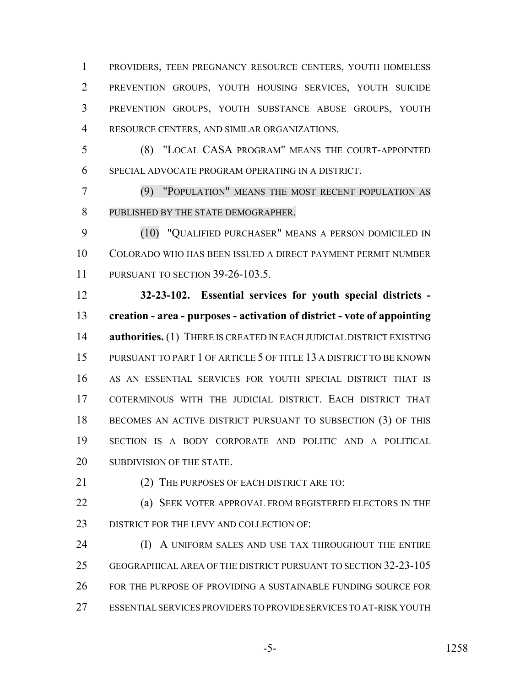PROVIDERS, TEEN PREGNANCY RESOURCE CENTERS, YOUTH HOMELESS PREVENTION GROUPS, YOUTH HOUSING SERVICES, YOUTH SUICIDE PREVENTION GROUPS, YOUTH SUBSTANCE ABUSE GROUPS, YOUTH RESOURCE CENTERS, AND SIMILAR ORGANIZATIONS.

 (8) "LOCAL CASA PROGRAM" MEANS THE COURT-APPOINTED SPECIAL ADVOCATE PROGRAM OPERATING IN A DISTRICT.

 (9) "POPULATION" MEANS THE MOST RECENT POPULATION AS PUBLISHED BY THE STATE DEMOGRAPHER.

 (10) "QUALIFIED PURCHASER" MEANS A PERSON DOMICILED IN COLORADO WHO HAS BEEN ISSUED A DIRECT PAYMENT PERMIT NUMBER PURSUANT TO SECTION 39-26-103.5.

 **32-23-102. Essential services for youth special districts - creation - area - purposes - activation of district - vote of appointing authorities.** (1) THERE IS CREATED IN EACH JUDICIAL DISTRICT EXISTING 15 PURSUANT TO PART 1 OF ARTICLE 5 OF TITLE 13 A DISTRICT TO BE KNOWN AS AN ESSENTIAL SERVICES FOR YOUTH SPECIAL DISTRICT THAT IS COTERMINOUS WITH THE JUDICIAL DISTRICT. EACH DISTRICT THAT 18 BECOMES AN ACTIVE DISTRICT PURSUANT TO SUBSECTION (3) OF THIS SECTION IS A BODY CORPORATE AND POLITIC AND A POLITICAL 20 SUBDIVISION OF THE STATE.

21 (2) THE PURPOSES OF EACH DISTRICT ARE TO:

 (a) SEEK VOTER APPROVAL FROM REGISTERED ELECTORS IN THE 23 DISTRICT FOR THE LEVY AND COLLECTION OF:

**(I) A UNIFORM SALES AND USE TAX THROUGHOUT THE ENTIRE**  GEOGRAPHICAL AREA OF THE DISTRICT PURSUANT TO SECTION 32-23-105 FOR THE PURPOSE OF PROVIDING A SUSTAINABLE FUNDING SOURCE FOR ESSENTIAL SERVICES PROVIDERS TO PROVIDE SERVICES TO AT-RISK YOUTH

-5- 1258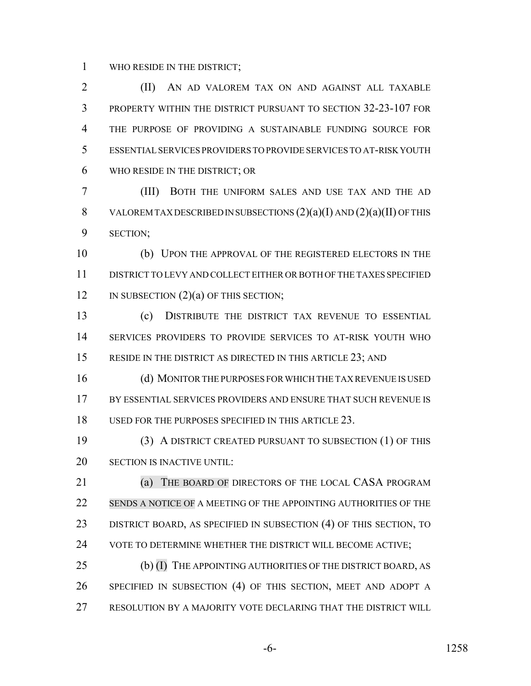WHO RESIDE IN THE DISTRICT;

2 (II) AN AD VALOREM TAX ON AND AGAINST ALL TAXABLE PROPERTY WITHIN THE DISTRICT PURSUANT TO SECTION 32-23-107 FOR THE PURPOSE OF PROVIDING A SUSTAINABLE FUNDING SOURCE FOR ESSENTIAL SERVICES PROVIDERS TO PROVIDE SERVICES TO AT-RISK YOUTH WHO RESIDE IN THE DISTRICT; OR

 (III) BOTH THE UNIFORM SALES AND USE TAX AND THE AD 8 VALOREM TAX DESCRIBED IN SUBSECTIONS  $(2)(a)(I)$  AND  $(2)(a)(II)$  OF THIS SECTION;

 (b) UPON THE APPROVAL OF THE REGISTERED ELECTORS IN THE DISTRICT TO LEVY AND COLLECT EITHER OR BOTH OF THE TAXES SPECIFIED 12 IN SUBSECTION (2)(a) OF THIS SECTION;

 (c) DISTRIBUTE THE DISTRICT TAX REVENUE TO ESSENTIAL SERVICES PROVIDERS TO PROVIDE SERVICES TO AT-RISK YOUTH WHO 15 RESIDE IN THE DISTRICT AS DIRECTED IN THIS ARTICLE 23; AND

 (d) MONITOR THE PURPOSES FOR WHICH THE TAX REVENUE IS USED BY ESSENTIAL SERVICES PROVIDERS AND ENSURE THAT SUCH REVENUE IS USED FOR THE PURPOSES SPECIFIED IN THIS ARTICLE 23.

 (3) A DISTRICT CREATED PURSUANT TO SUBSECTION (1) OF THIS SECTION IS INACTIVE UNTIL:

**(a) THE BOARD OF DIRECTORS OF THE LOCAL CASA PROGRAM**  SENDS A NOTICE OF A MEETING OF THE APPOINTING AUTHORITIES OF THE 23 DISTRICT BOARD, AS SPECIFIED IN SUBSECTION (4) OF THIS SECTION, TO VOTE TO DETERMINE WHETHER THE DISTRICT WILL BECOME ACTIVE;

 (b) (I) THE APPOINTING AUTHORITIES OF THE DISTRICT BOARD, AS SPECIFIED IN SUBSECTION (4) OF THIS SECTION, MEET AND ADOPT A RESOLUTION BY A MAJORITY VOTE DECLARING THAT THE DISTRICT WILL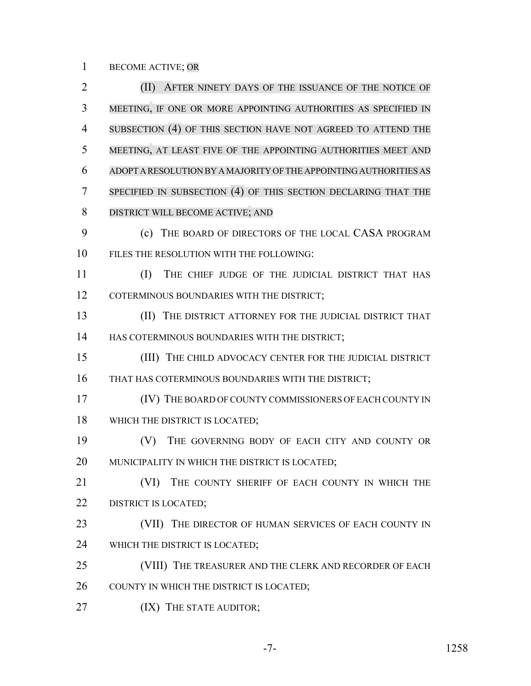BECOME ACTIVE; OR

 (II) AFTER NINETY DAYS OF THE ISSUANCE OF THE NOTICE OF MEETING, IF ONE OR MORE APPOINTING AUTHORITIES AS SPECIFIED IN SUBSECTION (4) OF THIS SECTION HAVE NOT AGREED TO ATTEND THE MEETING, AT LEAST FIVE OF THE APPOINTING AUTHORITIES MEET AND ADOPT A RESOLUTION BY A MAJORITY OF THE APPOINTING AUTHORITIES AS SPECIFIED IN SUBSECTION (4) OF THIS SECTION DECLARING THAT THE DISTRICT WILL BECOME ACTIVE; AND (c) THE BOARD OF DIRECTORS OF THE LOCAL CASA PROGRAM FILES THE RESOLUTION WITH THE FOLLOWING: (I) THE CHIEF JUDGE OF THE JUDICIAL DISTRICT THAT HAS 12 COTERMINOUS BOUNDARIES WITH THE DISTRICT; (II) THE DISTRICT ATTORNEY FOR THE JUDICIAL DISTRICT THAT 14 HAS COTERMINOUS BOUNDARIES WITH THE DISTRICT; (III) THE CHILD ADVOCACY CENTER FOR THE JUDICIAL DISTRICT THAT HAS COTERMINOUS BOUNDARIES WITH THE DISTRICT; 17 (IV) THE BOARD OF COUNTY COMMISSIONERS OF EACH COUNTY IN 18 WHICH THE DISTRICT IS LOCATED; (V) THE GOVERNING BODY OF EACH CITY AND COUNTY OR 20 MUNICIPALITY IN WHICH THE DISTRICT IS LOCATED; 21 (VI) THE COUNTY SHERIFF OF EACH COUNTY IN WHICH THE 22 DISTRICT IS LOCATED: 23 (VII) THE DIRECTOR OF HUMAN SERVICES OF EACH COUNTY IN WHICH THE DISTRICT IS LOCATED; 25 (VIII) THE TREASURER AND THE CLERK AND RECORDER OF EACH 26 COUNTY IN WHICH THE DISTRICT IS LOCATED; **(IX)** THE STATE AUDITOR;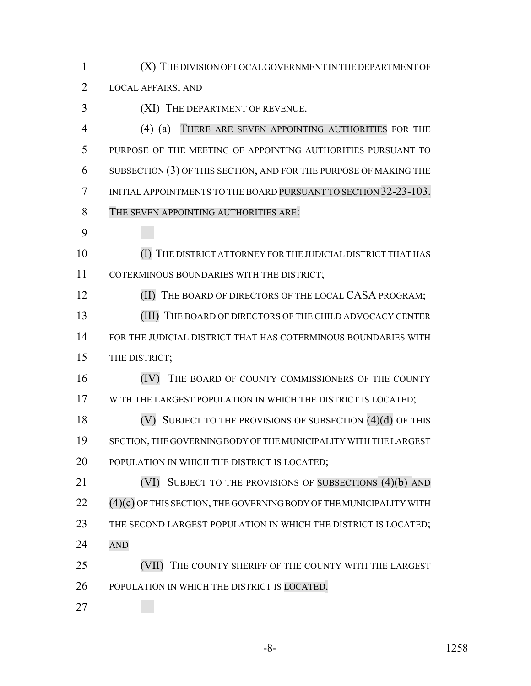| 1  | (X) THE DIVISION OF LOCAL GOVERNMENT IN THE DEPARTMENT OF             |
|----|-----------------------------------------------------------------------|
| 2  | <b>LOCAL AFFAIRS; AND</b>                                             |
| 3  | (XI) THE DEPARTMENT OF REVENUE.                                       |
| 4  | THERE ARE SEVEN APPOINTING AUTHORITIES FOR THE<br>$(4)$ (a)           |
| 5  | PURPOSE OF THE MEETING OF APPOINTING AUTHORITIES PURSUANT TO          |
| 6  | SUBSECTION (3) OF THIS SECTION, AND FOR THE PURPOSE OF MAKING THE     |
| 7  | INITIAL APPOINTMENTS TO THE BOARD PURSUANT TO SECTION 32-23-103.      |
| 8  | THE SEVEN APPOINTING AUTHORITIES ARE:                                 |
| 9  |                                                                       |
| 10 |                                                                       |
|    | THE DISTRICT ATTORNEY FOR THE JUDICIAL DISTRICT THAT HAS              |
| 11 | COTERMINOUS BOUNDARIES WITH THE DISTRICT;                             |
| 12 | THE BOARD OF DIRECTORS OF THE LOCAL CASA PROGRAM;<br>(II)             |
| 13 | (III) THE BOARD OF DIRECTORS OF THE CHILD ADVOCACY CENTER             |
| 14 | FOR THE JUDICIAL DISTRICT THAT HAS COTERMINOUS BOUNDARIES WITH        |
| 15 | THE DISTRICT;                                                         |
| 16 | THE BOARD OF COUNTY COMMISSIONERS OF THE COUNTY<br>(IV)               |
| 17 | WITH THE LARGEST POPULATION IN WHICH THE DISTRICT IS LOCATED;         |
| 18 | SUBJECT TO THE PROVISIONS OF SUBSECTION $(4)(d)$ OF THIS              |
| 19 | SECTION, THE GOVERNING BODY OF THE MUNICIPALITY WITH THE LARGEST      |
| 20 | POPULATION IN WHICH THE DISTRICT IS LOCATED;                          |
| 21 | (VI) SUBJECT TO THE PROVISIONS OF SUBSECTIONS (4)(b) AND              |
| 22 | $(4)(c)$ OF THIS SECTION, THE GOVERNING BODY OF THE MUNICIPALITY WITH |
| 23 | THE SECOND LARGEST POPULATION IN WHICH THE DISTRICT IS LOCATED;       |
| 24 | <b>AND</b>                                                            |
| 25 | (VII) THE COUNTY SHERIFF OF THE COUNTY WITH THE LARGEST               |
| 26 | POPULATION IN WHICH THE DISTRICT IS LOCATED.                          |
| 27 |                                                                       |

-8- 1258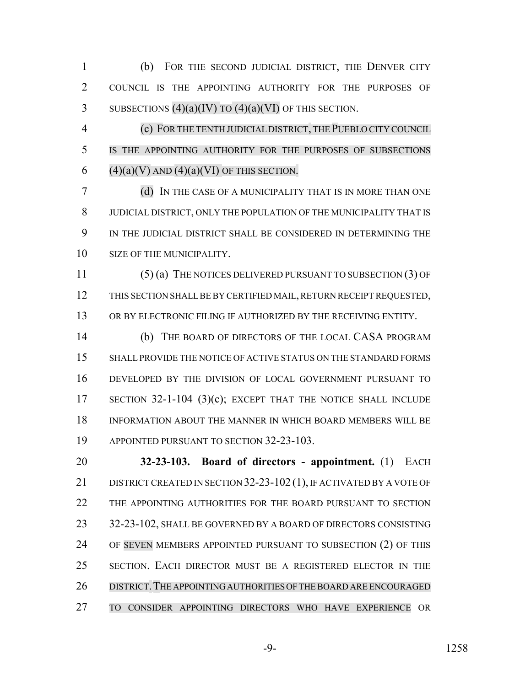(b) FOR THE SECOND JUDICIAL DISTRICT, THE DENVER CITY COUNCIL IS THE APPOINTING AUTHORITY FOR THE PURPOSES OF 3 SUBSECTIONS  $(4)(a)(IV)$  TO  $(4)(a)(VI)$  OF THIS SECTION.

 (c) FORTHE TENTH JUDICIAL DISTRICT, THE PUEBLO CITY COUNCIL IS THE APPOINTING AUTHORITY FOR THE PURPOSES OF SUBSECTIONS 6  $(4)(a)(V)$  AND  $(4)(a)(VI)$  OF THIS SECTION.

 (d) IN THE CASE OF A MUNICIPALITY THAT IS IN MORE THAN ONE JUDICIAL DISTRICT, ONLY THE POPULATION OF THE MUNICIPALITY THAT IS IN THE JUDICIAL DISTRICT SHALL BE CONSIDERED IN DETERMINING THE SIZE OF THE MUNICIPALITY.

 (5) (a) THE NOTICES DELIVERED PURSUANT TO SUBSECTION (3) OF THIS SECTION SHALL BE BY CERTIFIED MAIL, RETURN RECEIPT REQUESTED, OR BY ELECTRONIC FILING IF AUTHORIZED BY THE RECEIVING ENTITY.

 (b) THE BOARD OF DIRECTORS OF THE LOCAL CASA PROGRAM SHALL PROVIDE THE NOTICE OF ACTIVE STATUS ON THE STANDARD FORMS DEVELOPED BY THE DIVISION OF LOCAL GOVERNMENT PURSUANT TO SECTION 32-1-104 (3)(c); EXCEPT THAT THE NOTICE SHALL INCLUDE INFORMATION ABOUT THE MANNER IN WHICH BOARD MEMBERS WILL BE 19 APPOINTED PURSUANT TO SECTION 32-23-103.

 **32-23-103. Board of directors - appointment.** (1) EACH 21 DISTRICT CREATED IN SECTION 32-23-102 (1), IF ACTIVATED BY A VOTE OF THE APPOINTING AUTHORITIES FOR THE BOARD PURSUANT TO SECTION 23 32-23-102, SHALL BE GOVERNED BY A BOARD OF DIRECTORS CONSISTING 24 OF SEVEN MEMBERS APPOINTED PURSUANT TO SUBSECTION (2) OF THIS SECTION. EACH DIRECTOR MUST BE A REGISTERED ELECTOR IN THE DISTRICT.THE APPOINTING AUTHORITIES OF THE BOARD ARE ENCOURAGED TO CONSIDER APPOINTING DIRECTORS WHO HAVE EXPERIENCE OR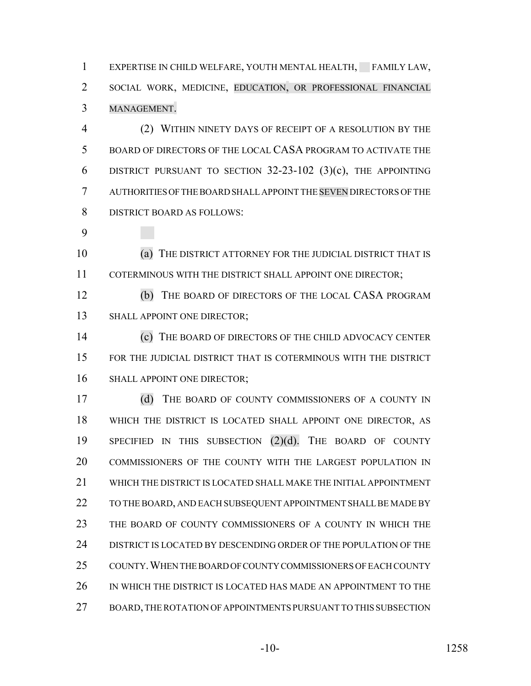1 EXPERTISE IN CHILD WELFARE, YOUTH MENTAL HEALTH, FAMILY LAW, SOCIAL WORK, MEDICINE, EDUCATION, OR PROFESSIONAL FINANCIAL MANAGEMENT.

 (2) WITHIN NINETY DAYS OF RECEIPT OF A RESOLUTION BY THE BOARD OF DIRECTORS OF THE LOCAL CASA PROGRAM TO ACTIVATE THE DISTRICT PURSUANT TO SECTION 32-23-102 (3)(c), THE APPOINTING AUTHORITIES OF THE BOARD SHALL APPOINT THE SEVEN DIRECTORS OF THE DISTRICT BOARD AS FOLLOWS:

 (a) THE DISTRICT ATTORNEY FOR THE JUDICIAL DISTRICT THAT IS 11 COTERMINOUS WITH THE DISTRICT SHALL APPOINT ONE DIRECTOR;

 (b) THE BOARD OF DIRECTORS OF THE LOCAL CASA PROGRAM 13 SHALL APPOINT ONE DIRECTOR;

 (c) THE BOARD OF DIRECTORS OF THE CHILD ADVOCACY CENTER FOR THE JUDICIAL DISTRICT THAT IS COTERMINOUS WITH THE DISTRICT 16 SHALL APPOINT ONE DIRECTOR;

17 (d) THE BOARD OF COUNTY COMMISSIONERS OF A COUNTY IN WHICH THE DISTRICT IS LOCATED SHALL APPOINT ONE DIRECTOR, AS SPECIFIED IN THIS SUBSECTION (2)(d). THE BOARD OF COUNTY COMMISSIONERS OF THE COUNTY WITH THE LARGEST POPULATION IN WHICH THE DISTRICT IS LOCATED SHALL MAKE THE INITIAL APPOINTMENT TO THE BOARD, AND EACH SUBSEQUENT APPOINTMENT SHALL BE MADE BY THE BOARD OF COUNTY COMMISSIONERS OF A COUNTY IN WHICH THE DISTRICT IS LOCATED BY DESCENDING ORDER OF THE POPULATION OF THE COUNTY.WHEN THE BOARD OF COUNTY COMMISSIONERS OF EACH COUNTY 26 IN WHICH THE DISTRICT IS LOCATED HAS MADE AN APPOINTMENT TO THE BOARD, THE ROTATION OF APPOINTMENTS PURSUANT TO THIS SUBSECTION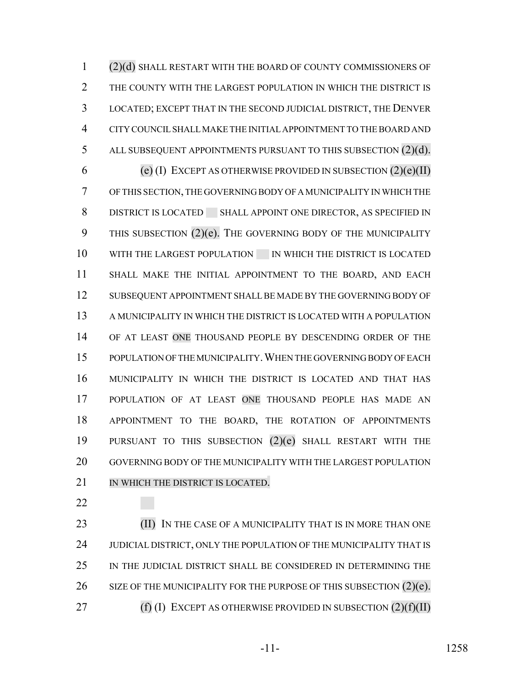(2)(d) SHALL RESTART WITH THE BOARD OF COUNTY COMMISSIONERS OF 2 THE COUNTY WITH THE LARGEST POPULATION IN WHICH THE DISTRICT IS LOCATED; EXCEPT THAT IN THE SECOND JUDICIAL DISTRICT, THE DENVER CITY COUNCIL SHALL MAKE THE INITIAL APPOINTMENT TO THE BOARD AND ALL SUBSEQUENT APPOINTMENTS PURSUANT TO THIS SUBSECTION (2)(d). 6 (e) (I) EXCEPT AS OTHERWISE PROVIDED IN SUBSECTION  $(2)(e)(II)$  OF THIS SECTION, THE GOVERNING BODY OF A MUNICIPALITY IN WHICH THE DISTRICT IS LOCATED SHALL APPOINT ONE DIRECTOR, AS SPECIFIED IN 9 THIS SUBSECTION (2)(e). THE GOVERNING BODY OF THE MUNICIPALITY 10 WITH THE LARGEST POPULATION IN WHICH THE DISTRICT IS LOCATED SHALL MAKE THE INITIAL APPOINTMENT TO THE BOARD, AND EACH SUBSEQUENT APPOINTMENT SHALL BE MADE BY THE GOVERNING BODY OF A MUNICIPALITY IN WHICH THE DISTRICT IS LOCATED WITH A POPULATION 14 OF AT LEAST ONE THOUSAND PEOPLE BY DESCENDING ORDER OF THE POPULATION OF THE MUNICIPALITY.WHEN THE GOVERNING BODY OF EACH MUNICIPALITY IN WHICH THE DISTRICT IS LOCATED AND THAT HAS POPULATION OF AT LEAST ONE THOUSAND PEOPLE HAS MADE AN APPOINTMENT TO THE BOARD, THE ROTATION OF APPOINTMENTS PURSUANT TO THIS SUBSECTION (2)(e) SHALL RESTART WITH THE GOVERNING BODY OF THE MUNICIPALITY WITH THE LARGEST POPULATION 21 IN WHICH THE DISTRICT IS LOCATED.

**(II)** IN THE CASE OF A MUNICIPALITY THAT IS IN MORE THAN ONE 24 JUDICIAL DISTRICT, ONLY THE POPULATION OF THE MUNICIPALITY THAT IS IN THE JUDICIAL DISTRICT SHALL BE CONSIDERED IN DETERMINING THE 26 SIZE OF THE MUNICIPALITY FOR THE PURPOSE OF THIS SUBSECTION  $(2)(e)$ . 27 (f) (I) EXCEPT AS OTHERWISE PROVIDED IN SUBSECTION  $(2)(f)(II)$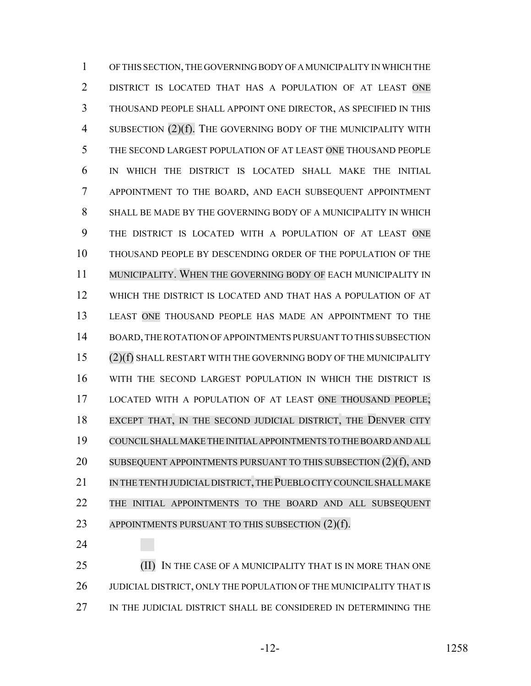OF THIS SECTION, THE GOVERNING BODY OF A MUNICIPALITY IN WHICH THE DISTRICT IS LOCATED THAT HAS A POPULATION OF AT LEAST ONE THOUSAND PEOPLE SHALL APPOINT ONE DIRECTOR, AS SPECIFIED IN THIS 4 SUBSECTION (2)(f). THE GOVERNING BODY OF THE MUNICIPALITY WITH THE SECOND LARGEST POPULATION OF AT LEAST ONE THOUSAND PEOPLE IN WHICH THE DISTRICT IS LOCATED SHALL MAKE THE INITIAL APPOINTMENT TO THE BOARD, AND EACH SUBSEQUENT APPOINTMENT SHALL BE MADE BY THE GOVERNING BODY OF A MUNICIPALITY IN WHICH THE DISTRICT IS LOCATED WITH A POPULATION OF AT LEAST ONE THOUSAND PEOPLE BY DESCENDING ORDER OF THE POPULATION OF THE MUNICIPALITY. WHEN THE GOVERNING BODY OF EACH MUNICIPALITY IN WHICH THE DISTRICT IS LOCATED AND THAT HAS A POPULATION OF AT LEAST ONE THOUSAND PEOPLE HAS MADE AN APPOINTMENT TO THE BOARD, THE ROTATION OF APPOINTMENTS PURSUANT TO THIS SUBSECTION (2)(f) SHALL RESTART WITH THE GOVERNING BODY OF THE MUNICIPALITY WITH THE SECOND LARGEST POPULATION IN WHICH THE DISTRICT IS LOCATED WITH A POPULATION OF AT LEAST ONE THOUSAND PEOPLE; EXCEPT THAT, IN THE SECOND JUDICIAL DISTRICT, THE DENVER CITY COUNCILSHALL MAKE THE INITIAL APPOINTMENTS TO THE BOARD AND ALL 20 SUBSEQUENT APPOINTMENTS PURSUANT TO THIS SUBSECTION (2)(f), AND 21 IN THE TENTH JUDICIAL DISTRICT, THE PUEBLO CITY COUNCIL SHALL MAKE THE INITIAL APPOINTMENTS TO THE BOARD AND ALL SUBSEQUENT 23 APPOINTMENTS PURSUANT TO THIS SUBSECTION (2)(f).

**(II)** IN THE CASE OF A MUNICIPALITY THAT IS IN MORE THAN ONE 26 JUDICIAL DISTRICT, ONLY THE POPULATION OF THE MUNICIPALITY THAT IS 27 IN THE JUDICIAL DISTRICT SHALL BE CONSIDERED IN DETERMINING THE

-12- 1258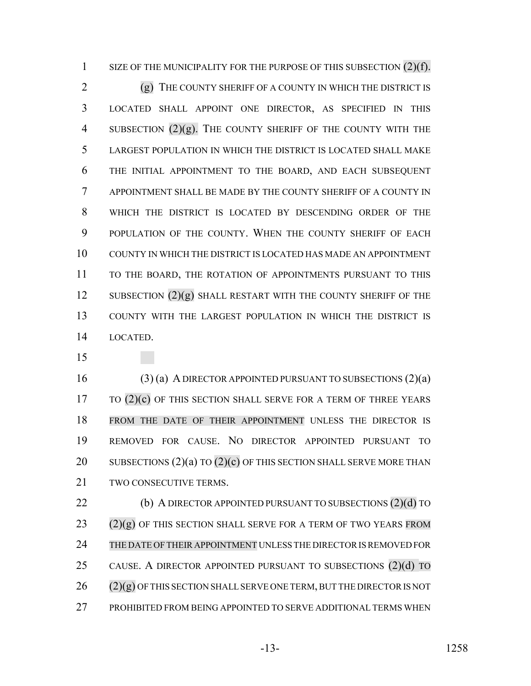1 SIZE OF THE MUNICIPALITY FOR THE PURPOSE OF THIS SUBSECTION (2)(f).

2 (g) THE COUNTY SHERIFF OF A COUNTY IN WHICH THE DISTRICT IS LOCATED SHALL APPOINT ONE DIRECTOR, AS SPECIFIED IN THIS 4 SUBSECTION  $(2)(g)$ . The COUNTY SHERIFF OF THE COUNTY WITH THE LARGEST POPULATION IN WHICH THE DISTRICT IS LOCATED SHALL MAKE THE INITIAL APPOINTMENT TO THE BOARD, AND EACH SUBSEQUENT APPOINTMENT SHALL BE MADE BY THE COUNTY SHERIFF OF A COUNTY IN WHICH THE DISTRICT IS LOCATED BY DESCENDING ORDER OF THE POPULATION OF THE COUNTY. WHEN THE COUNTY SHERIFF OF EACH COUNTY IN WHICH THE DISTRICT IS LOCATED HAS MADE AN APPOINTMENT 11 TO THE BOARD, THE ROTATION OF APPOINTMENTS PURSUANT TO THIS 12 SUBSECTION (2)(g) SHALL RESTART WITH THE COUNTY SHERIFF OF THE COUNTY WITH THE LARGEST POPULATION IN WHICH THE DISTRICT IS LOCATED.

 (3) (a) A DIRECTOR APPOINTED PURSUANT TO SUBSECTIONS (2)(a) TO  $(2)(c)$  OF THIS SECTION SHALL SERVE FOR A TERM OF THREE YEARS FROM THE DATE OF THEIR APPOINTMENT UNLESS THE DIRECTOR IS REMOVED FOR CAUSE. NO DIRECTOR APPOINTED PURSUANT TO 20 SUBSECTIONS  $(2)(a)$  TO  $(2)(c)$  OF THIS SECTION SHALL SERVE MORE THAN TWO CONSECUTIVE TERMS.

22 (b) A DIRECTOR APPOINTED PURSUANT TO SUBSECTIONS (2)(d) TO  $(2)(g)$  OF THIS SECTION SHALL SERVE FOR A TERM OF TWO YEARS FROM THE DATE OF THEIR APPOINTMENT UNLESS THE DIRECTOR IS REMOVED FOR 25 CAUSE. A DIRECTOR APPOINTED PURSUANT TO SUBSECTIONS (2)(d) TO (2)(g) OF THIS SECTION SHALL SERVE ONE TERM, BUT THE DIRECTOR IS NOT PROHIBITED FROM BEING APPOINTED TO SERVE ADDITIONAL TERMS WHEN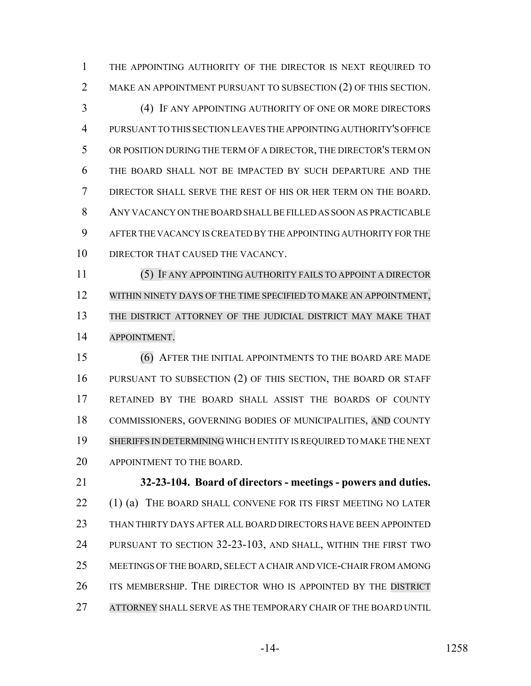THE APPOINTING AUTHORITY OF THE DIRECTOR IS NEXT REQUIRED TO 2 MAKE AN APPOINTMENT PURSUANT TO SUBSECTION (2) OF THIS SECTION.

 (4) IF ANY APPOINTING AUTHORITY OF ONE OR MORE DIRECTORS PURSUANT TO THIS SECTION LEAVES THE APPOINTING AUTHORITY'S OFFICE OR POSITION DURING THE TERM OF A DIRECTOR, THE DIRECTOR'S TERM ON THE BOARD SHALL NOT BE IMPACTED BY SUCH DEPARTURE AND THE DIRECTOR SHALL SERVE THE REST OF HIS OR HER TERM ON THE BOARD. ANY VACANCY ON THE BOARD SHALL BE FILLED AS SOON AS PRACTICABLE AFTER THE VACANCY IS CREATED BY THE APPOINTING AUTHORITY FOR THE 10 DIRECTOR THAT CAUSED THE VACANCY.

 (5) IF ANY APPOINTING AUTHORITY FAILS TO APPOINT A DIRECTOR 12 WITHIN NINETY DAYS OF THE TIME SPECIFIED TO MAKE AN APPOINTMENT, THE DISTRICT ATTORNEY OF THE JUDICIAL DISTRICT MAY MAKE THAT APPOINTMENT.

 (6) AFTER THE INITIAL APPOINTMENTS TO THE BOARD ARE MADE PURSUANT TO SUBSECTION (2) OF THIS SECTION, THE BOARD OR STAFF RETAINED BY THE BOARD SHALL ASSIST THE BOARDS OF COUNTY 18 COMMISSIONERS, GOVERNING BODIES OF MUNICIPALITIES, AND COUNTY SHERIFFS IN DETERMINING WHICH ENTITY IS REQUIRED TO MAKE THE NEXT APPOINTMENT TO THE BOARD.

 **32-23-104. Board of directors - meetings - powers and duties.** 22 (1) (a) THE BOARD SHALL CONVENE FOR ITS FIRST MEETING NO LATER THAN THIRTY DAYS AFTER ALL BOARD DIRECTORS HAVE BEEN APPOINTED PURSUANT TO SECTION 32-23-103, AND SHALL, WITHIN THE FIRST TWO MEETINGS OF THE BOARD, SELECT A CHAIR AND VICE-CHAIR FROM AMONG 26 ITS MEMBERSHIP. THE DIRECTOR WHO IS APPOINTED BY THE DISTRICT ATTORNEY SHALL SERVE AS THE TEMPORARY CHAIR OF THE BOARD UNTIL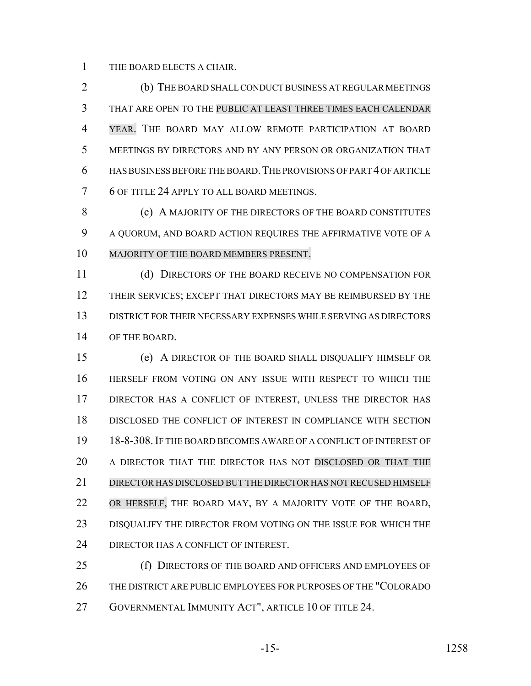THE BOARD ELECTS A CHAIR.

 (b) THE BOARD SHALL CONDUCT BUSINESS AT REGULAR MEETINGS THAT ARE OPEN TO THE PUBLIC AT LEAST THREE TIMES EACH CALENDAR YEAR. THE BOARD MAY ALLOW REMOTE PARTICIPATION AT BOARD MEETINGS BY DIRECTORS AND BY ANY PERSON OR ORGANIZATION THAT HAS BUSINESS BEFORE THE BOARD.THE PROVISIONS OF PART 4 OF ARTICLE 6 OF TITLE 24 APPLY TO ALL BOARD MEETINGS.

8 (c) A MAJORITY OF THE DIRECTORS OF THE BOARD CONSTITUTES A QUORUM, AND BOARD ACTION REQUIRES THE AFFIRMATIVE VOTE OF A MAJORITY OF THE BOARD MEMBERS PRESENT.

 (d) DIRECTORS OF THE BOARD RECEIVE NO COMPENSATION FOR THEIR SERVICES; EXCEPT THAT DIRECTORS MAY BE REIMBURSED BY THE DISTRICT FOR THEIR NECESSARY EXPENSES WHILE SERVING AS DIRECTORS OF THE BOARD.

 (e) A DIRECTOR OF THE BOARD SHALL DISQUALIFY HIMSELF OR HERSELF FROM VOTING ON ANY ISSUE WITH RESPECT TO WHICH THE DIRECTOR HAS A CONFLICT OF INTEREST, UNLESS THE DIRECTOR HAS DISCLOSED THE CONFLICT OF INTEREST IN COMPLIANCE WITH SECTION 18-8-308.IF THE BOARD BECOMES AWARE OF A CONFLICT OF INTEREST OF A DIRECTOR THAT THE DIRECTOR HAS NOT DISCLOSED OR THAT THE DIRECTOR HAS DISCLOSED BUT THE DIRECTOR HAS NOT RECUSED HIMSELF 22 OR HERSELF, THE BOARD MAY, BY A MAJORITY VOTE OF THE BOARD, DISQUALIFY THE DIRECTOR FROM VOTING ON THE ISSUE FOR WHICH THE 24 DIRECTOR HAS A CONFLICT OF INTEREST.

25 (f) DIRECTORS OF THE BOARD AND OFFICERS AND EMPLOYEES OF THE DISTRICT ARE PUBLIC EMPLOYEES FOR PURPOSES OF THE "COLORADO GOVERNMENTAL IMMUNITY ACT", ARTICLE 10 OF TITLE 24.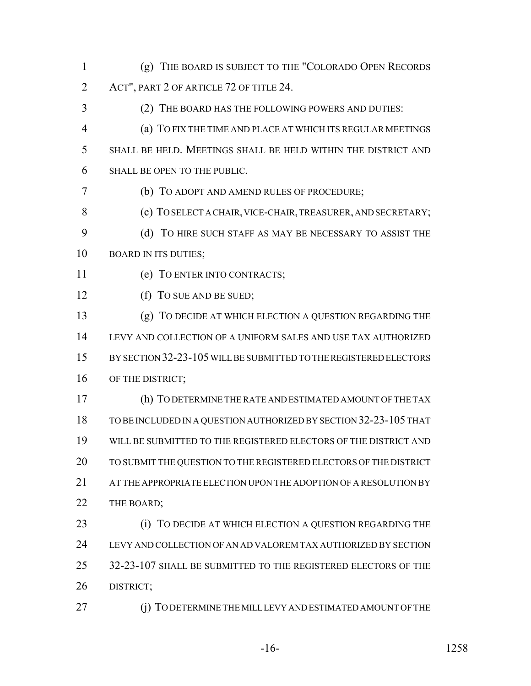- (g) THE BOARD IS SUBJECT TO THE "COLORADO OPEN RECORDS ACT", PART 2 OF ARTICLE 72 OF TITLE 24.
- (2) THE BOARD HAS THE FOLLOWING POWERS AND DUTIES: (a) TO FIX THE TIME AND PLACE AT WHICH ITS REGULAR MEETINGS SHALL BE HELD. MEETINGS SHALL BE HELD WITHIN THE DISTRICT AND
- SHALL BE OPEN TO THE PUBLIC.
- (b) TO ADOPT AND AMEND RULES OF PROCEDURE;
- 8 (c) TO SELECT A CHAIR, VICE-CHAIR, TREASURER, AND SECRETARY; (d) TO HIRE SUCH STAFF AS MAY BE NECESSARY TO ASSIST THE
- 10 BOARD IN ITS DUTIES;
- (e) TO ENTER INTO CONTRACTS;
- 12 (f) To SUE AND BE SUED;
- (g) TO DECIDE AT WHICH ELECTION A QUESTION REGARDING THE LEVY AND COLLECTION OF A UNIFORM SALES AND USE TAX AUTHORIZED BY SECTION 32-23-105 WILL BE SUBMITTED TO THE REGISTERED ELECTORS 16 OF THE DISTRICT;
- (h) TO DETERMINE THE RATE AND ESTIMATED AMOUNT OF THE TAX TO BE INCLUDED IN A QUESTION AUTHORIZED BY SECTION 32-23-105 THAT WILL BE SUBMITTED TO THE REGISTERED ELECTORS OF THE DISTRICT AND TO SUBMIT THE QUESTION TO THE REGISTERED ELECTORS OF THE DISTRICT 21 AT THE APPROPRIATE ELECTION UPON THE ADOPTION OF A RESOLUTION BY 22 THE BOARD;
- **(i)** TO DECIDE AT WHICH ELECTION A QUESTION REGARDING THE LEVY AND COLLECTION OF AN AD VALOREM TAX AUTHORIZED BY SECTION 32-23-107 SHALL BE SUBMITTED TO THE REGISTERED ELECTORS OF THE DISTRICT;
- (j) TO DETERMINE THE MILL LEVY AND ESTIMATED AMOUNT OF THE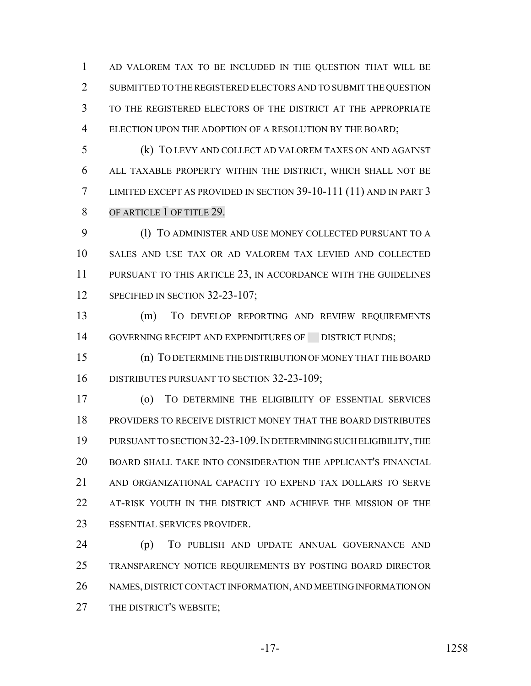AD VALOREM TAX TO BE INCLUDED IN THE QUESTION THAT WILL BE SUBMITTED TO THE REGISTERED ELECTORS AND TO SUBMIT THE QUESTION TO THE REGISTERED ELECTORS OF THE DISTRICT AT THE APPROPRIATE ELECTION UPON THE ADOPTION OF A RESOLUTION BY THE BOARD;

 (k) TO LEVY AND COLLECT AD VALOREM TAXES ON AND AGAINST ALL TAXABLE PROPERTY WITHIN THE DISTRICT, WHICH SHALL NOT BE LIMITED EXCEPT AS PROVIDED IN SECTION 39-10-111 (11) AND IN PART 3 8 OF ARTICLE 1 OF TITLE 29.

9 (1) TO ADMINISTER AND USE MONEY COLLECTED PURSUANT TO A SALES AND USE TAX OR AD VALOREM TAX LEVIED AND COLLECTED PURSUANT TO THIS ARTICLE 23, IN ACCORDANCE WITH THE GUIDELINES 12 SPECIFIED IN SECTION 32-23-107;

 (m) TO DEVELOP REPORTING AND REVIEW REQUIREMENTS 14 GOVERNING RECEIPT AND EXPENDITURES OF DISTRICT FUNDS;

 (n) TO DETERMINE THE DISTRIBUTION OF MONEY THAT THE BOARD DISTRIBUTES PURSUANT TO SECTION 32-23-109;

 (o) TO DETERMINE THE ELIGIBILITY OF ESSENTIAL SERVICES PROVIDERS TO RECEIVE DISTRICT MONEY THAT THE BOARD DISTRIBUTES PURSUANT TO SECTION 32-23-109.IN DETERMINING SUCH ELIGIBILITY, THE BOARD SHALL TAKE INTO CONSIDERATION THE APPLICANT'S FINANCIAL AND ORGANIZATIONAL CAPACITY TO EXPEND TAX DOLLARS TO SERVE AT-RISK YOUTH IN THE DISTRICT AND ACHIEVE THE MISSION OF THE ESSENTIAL SERVICES PROVIDER.

 (p) TO PUBLISH AND UPDATE ANNUAL GOVERNANCE AND TRANSPARENCY NOTICE REQUIREMENTS BY POSTING BOARD DIRECTOR NAMES, DISTRICT CONTACT INFORMATION, AND MEETING INFORMATION ON 27 THE DISTRICT'S WEBSITE;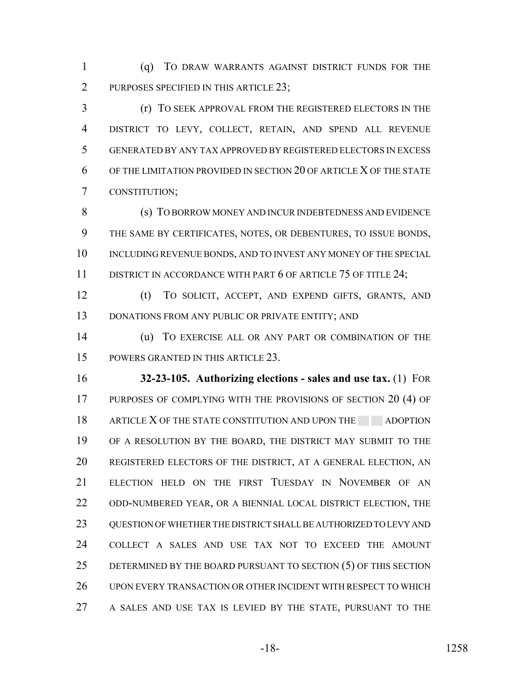(q) TO DRAW WARRANTS AGAINST DISTRICT FUNDS FOR THE 2 PURPOSES SPECIFIED IN THIS ARTICLE 23;

 (r) TO SEEK APPROVAL FROM THE REGISTERED ELECTORS IN THE DISTRICT TO LEVY, COLLECT, RETAIN, AND SPEND ALL REVENUE GENERATED BY ANY TAX APPROVED BY REGISTERED ELECTORS IN EXCESS OF THE LIMITATION PROVIDED IN SECTION 20 OF ARTICLE X OF THE STATE CONSTITUTION;

 (s) TO BORROW MONEY AND INCUR INDEBTEDNESS AND EVIDENCE THE SAME BY CERTIFICATES, NOTES, OR DEBENTURES, TO ISSUE BONDS, INCLUDING REVENUE BONDS, AND TO INVEST ANY MONEY OF THE SPECIAL 11 DISTRICT IN ACCORDANCE WITH PART 6 OF ARTICLE 75 OF TITLE 24;

 (t) TO SOLICIT, ACCEPT, AND EXPEND GIFTS, GRANTS, AND 13 DONATIONS FROM ANY PUBLIC OR PRIVATE ENTITY; AND

 (u) TO EXERCISE ALL OR ANY PART OR COMBINATION OF THE POWERS GRANTED IN THIS ARTICLE 23.

 **32-23-105. Authorizing elections - sales and use tax.** (1) FOR 17 PURPOSES OF COMPLYING WITH THE PROVISIONS OF SECTION 20 (4) OF 18 ARTICLE X OF THE STATE CONSTITUTION AND UPON THE ADOPTION OF A RESOLUTION BY THE BOARD, THE DISTRICT MAY SUBMIT TO THE REGISTERED ELECTORS OF THE DISTRICT, AT A GENERAL ELECTION, AN ELECTION HELD ON THE FIRST TUESDAY IN NOVEMBER OF AN ODD-NUMBERED YEAR, OR A BIENNIAL LOCAL DISTRICT ELECTION, THE QUESTION OF WHETHER THE DISTRICT SHALL BE AUTHORIZED TO LEVY AND COLLECT A SALES AND USE TAX NOT TO EXCEED THE AMOUNT 25 DETERMINED BY THE BOARD PURSUANT TO SECTION (5) OF THIS SECTION UPON EVERY TRANSACTION OR OTHER INCIDENT WITH RESPECT TO WHICH A SALES AND USE TAX IS LEVIED BY THE STATE, PURSUANT TO THE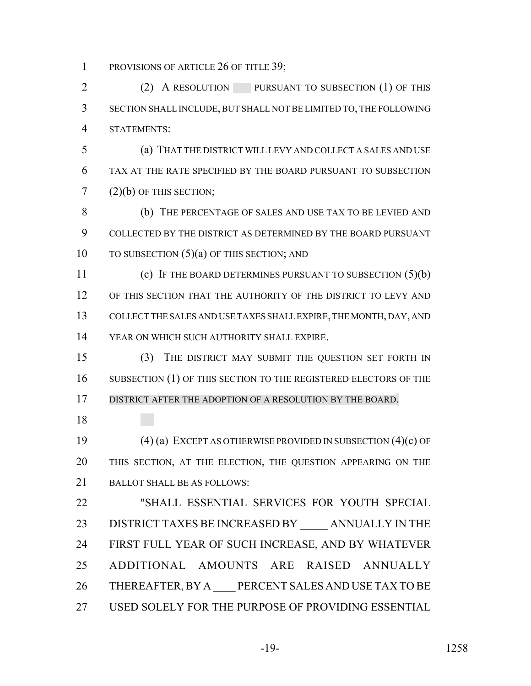1 PROVISIONS OF ARTICLE 26 OF TITLE 39;

2 (2) A RESOLUTION PURSUANT TO SUBSECTION (1) OF THIS SECTION SHALL INCLUDE, BUT SHALL NOT BE LIMITED TO, THE FOLLOWING STATEMENTS:

 (a) THAT THE DISTRICT WILL LEVY AND COLLECT A SALES AND USE TAX AT THE RATE SPECIFIED BY THE BOARD PURSUANT TO SUBSECTION  $7(2)(b)$  OF THIS SECTION;

 (b) THE PERCENTAGE OF SALES AND USE TAX TO BE LEVIED AND COLLECTED BY THE DISTRICT AS DETERMINED BY THE BOARD PURSUANT 10 TO SUBSECTION (5)(a) OF THIS SECTION; AND

 (c) IF THE BOARD DETERMINES PURSUANT TO SUBSECTION (5)(b) OF THIS SECTION THAT THE AUTHORITY OF THE DISTRICT TO LEVY AND COLLECT THE SALES AND USE TAXES SHALL EXPIRE, THE MONTH, DAY, AND YEAR ON WHICH SUCH AUTHORITY SHALL EXPIRE.

 (3) THE DISTRICT MAY SUBMIT THE QUESTION SET FORTH IN 16 SUBSECTION (1) OF THIS SECTION TO THE REGISTERED ELECTORS OF THE DISTRICT AFTER THE ADOPTION OF A RESOLUTION BY THE BOARD.

 (4) (a) EXCEPT AS OTHERWISE PROVIDED IN SUBSECTION (4)(c) OF THIS SECTION, AT THE ELECTION, THE QUESTION APPEARING ON THE BALLOT SHALL BE AS FOLLOWS:

 "SHALL ESSENTIAL SERVICES FOR YOUTH SPECIAL 23 DISTRICT TAXES BE INCREASED BY ANNUALLY IN THE FIRST FULL YEAR OF SUCH INCREASE, AND BY WHATEVER ADDITIONAL AMOUNTS ARE RAISED ANNUALLY 26 THEREAFTER, BY A PERCENT SALES AND USE TAX TO BE USED SOLELY FOR THE PURPOSE OF PROVIDING ESSENTIAL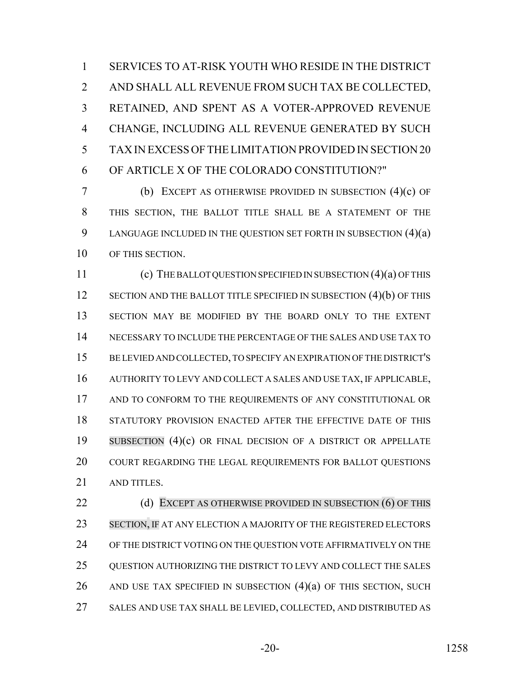SERVICES TO AT-RISK YOUTH WHO RESIDE IN THE DISTRICT AND SHALL ALL REVENUE FROM SUCH TAX BE COLLECTED, RETAINED, AND SPENT AS A VOTER-APPROVED REVENUE CHANGE, INCLUDING ALL REVENUE GENERATED BY SUCH TAX IN EXCESS OF THE LIMITATION PROVIDED IN SECTION 20 OF ARTICLE X OF THE COLORADO CONSTITUTION?"

 (b) EXCEPT AS OTHERWISE PROVIDED IN SUBSECTION (4)(c) OF THIS SECTION, THE BALLOT TITLE SHALL BE A STATEMENT OF THE 9 LANGUAGE INCLUDED IN THE QUESTION SET FORTH IN SUBSECTION (4)(a) OF THIS SECTION.

 (c) THE BALLOT QUESTION SPECIFIED IN SUBSECTION (4)(a) OF THIS 12 SECTION AND THE BALLOT TITLE SPECIFIED IN SUBSECTION (4)(b) OF THIS SECTION MAY BE MODIFIED BY THE BOARD ONLY TO THE EXTENT NECESSARY TO INCLUDE THE PERCENTAGE OF THE SALES AND USE TAX TO BE LEVIED AND COLLECTED, TO SPECIFY AN EXPIRATION OF THE DISTRICT'S AUTHORITY TO LEVY AND COLLECT A SALES AND USE TAX, IF APPLICABLE, AND TO CONFORM TO THE REQUIREMENTS OF ANY CONSTITUTIONAL OR STATUTORY PROVISION ENACTED AFTER THE EFFECTIVE DATE OF THIS SUBSECTION (4)(c) OR FINAL DECISION OF A DISTRICT OR APPELLATE 20 COURT REGARDING THE LEGAL REQUIREMENTS FOR BALLOT QUESTIONS AND TITLES.

**(d) EXCEPT AS OTHERWISE PROVIDED IN SUBSECTION (6) OF THIS**  SECTION, IF AT ANY ELECTION A MAJORITY OF THE REGISTERED ELECTORS OF THE DISTRICT VOTING ON THE QUESTION VOTE AFFIRMATIVELY ON THE QUESTION AUTHORIZING THE DISTRICT TO LEVY AND COLLECT THE SALES 26 AND USE TAX SPECIFIED IN SUBSECTION  $(4)(a)$  of this section, such SALES AND USE TAX SHALL BE LEVIED, COLLECTED, AND DISTRIBUTED AS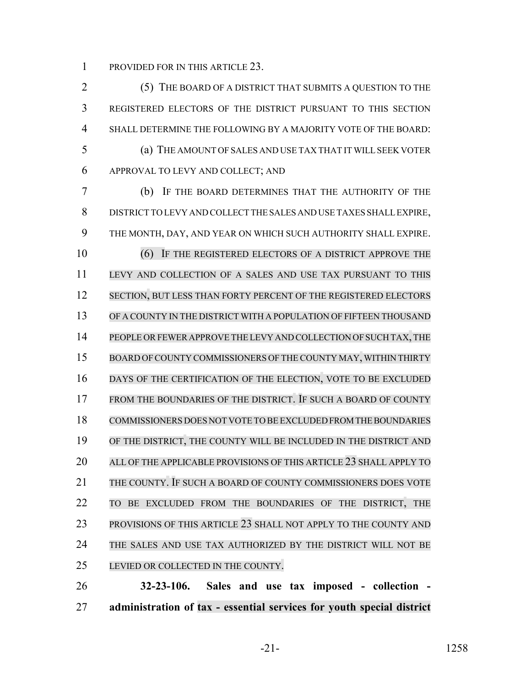PROVIDED FOR IN THIS ARTICLE 23.

 (5) THE BOARD OF A DISTRICT THAT SUBMITS A QUESTION TO THE REGISTERED ELECTORS OF THE DISTRICT PURSUANT TO THIS SECTION SHALL DETERMINE THE FOLLOWING BY A MAJORITY VOTE OF THE BOARD: (a) THE AMOUNT OF SALES AND USE TAX THAT IT WILL SEEK VOTER APPROVAL TO LEVY AND COLLECT; AND (b) IF THE BOARD DETERMINES THAT THE AUTHORITY OF THE DISTRICT TO LEVY AND COLLECT THE SALES AND USE TAXES SHALL EXPIRE, THE MONTH, DAY, AND YEAR ON WHICH SUCH AUTHORITY SHALL EXPIRE. 10 (6) IF THE REGISTERED ELECTORS OF A DISTRICT APPROVE THE LEVY AND COLLECTION OF A SALES AND USE TAX PURSUANT TO THIS 12 SECTION, BUT LESS THAN FORTY PERCENT OF THE REGISTERED ELECTORS OF A COUNTY IN THE DISTRICT WITH A POPULATION OF FIFTEEN THOUSAND PEOPLE ORFEWER APPROVE THE LEVY AND COLLECTION OF SUCH TAX, THE 15 BOARD OF COUNTY COMMISSIONERS OF THE COUNTY MAY, WITHIN THIRTY 16 DAYS OF THE CERTIFICATION OF THE ELECTION, VOTE TO BE EXCLUDED FROM THE BOUNDARIES OF THE DISTRICT. IF SUCH A BOARD OF COUNTY COMMISSIONERS DOES NOT VOTE TO BE EXCLUDED FROM THE BOUNDARIES OF THE DISTRICT, THE COUNTY WILL BE INCLUDED IN THE DISTRICT AND 20 ALL OF THE APPLICABLE PROVISIONS OF THIS ARTICLE 23 SHALL APPLY TO THE COUNTY. IF SUCH A BOARD OF COUNTY COMMISSIONERS DOES VOTE TO BE EXCLUDED FROM THE BOUNDARIES OF THE DISTRICT, THE PROVISIONS OF THIS ARTICLE 23 SHALL NOT APPLY TO THE COUNTY AND THE SALES AND USE TAX AUTHORIZED BY THE DISTRICT WILL NOT BE LEVIED OR COLLECTED IN THE COUNTY. **32-23-106. Sales and use tax imposed - collection -**

**administration of tax - essential services for youth special district**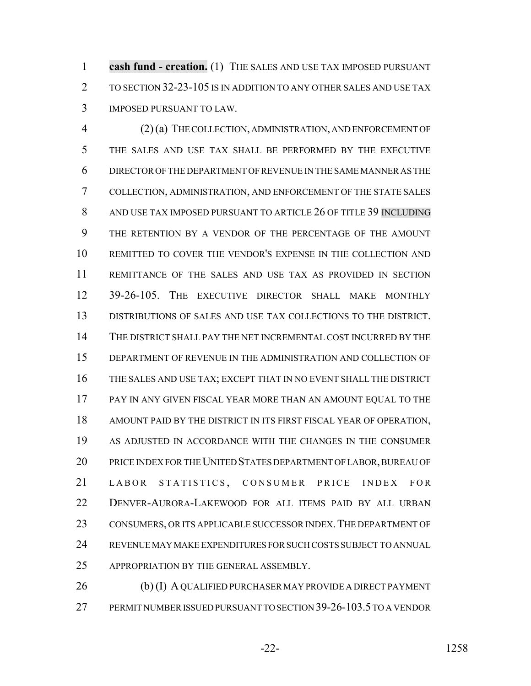**cash fund - creation.** (1) THE SALES AND USE TAX IMPOSED PURSUANT TO SECTION 32-23-105 IS IN ADDITION TO ANY OTHER SALES AND USE TAX IMPOSED PURSUANT TO LAW.

 (2) (a) THE COLLECTION, ADMINISTRATION, AND ENFORCEMENT OF THE SALES AND USE TAX SHALL BE PERFORMED BY THE EXECUTIVE DIRECTOR OF THE DEPARTMENT OF REVENUE IN THE SAME MANNER AS THE COLLECTION, ADMINISTRATION, AND ENFORCEMENT OF THE STATE SALES 8 AND USE TAX IMPOSED PURSUANT TO ARTICLE 26 OF TITLE 39 INCLUDING THE RETENTION BY A VENDOR OF THE PERCENTAGE OF THE AMOUNT REMITTED TO COVER THE VENDOR'S EXPENSE IN THE COLLECTION AND REMITTANCE OF THE SALES AND USE TAX AS PROVIDED IN SECTION 39-26-105. THE EXECUTIVE DIRECTOR SHALL MAKE MONTHLY DISTRIBUTIONS OF SALES AND USE TAX COLLECTIONS TO THE DISTRICT. THE DISTRICT SHALL PAY THE NET INCREMENTAL COST INCURRED BY THE DEPARTMENT OF REVENUE IN THE ADMINISTRATION AND COLLECTION OF THE SALES AND USE TAX; EXCEPT THAT IN NO EVENT SHALL THE DISTRICT PAY IN ANY GIVEN FISCAL YEAR MORE THAN AN AMOUNT EQUAL TO THE AMOUNT PAID BY THE DISTRICT IN ITS FIRST FISCAL YEAR OF OPERATION, AS ADJUSTED IN ACCORDANCE WITH THE CHANGES IN THE CONSUMER PRICE INDEX FOR THE UNITED STATES DEPARTMENT OF LABOR, BUREAU OF LABOR STATISTICS , CONSUMER PRICE INDEX FOR DENVER-AURORA-LAKEWOOD FOR ALL ITEMS PAID BY ALL URBAN 23 CONSUMERS, OR ITS APPLICABLE SUCCESSOR INDEX. THE DEPARTMENT OF REVENUE MAY MAKE EXPENDITURES FOR SUCH COSTS SUBJECT TO ANNUAL APPROPRIATION BY THE GENERAL ASSEMBLY.

26 (b) (I) A QUALIFIED PURCHASER MAY PROVIDE A DIRECT PAYMENT PERMIT NUMBER ISSUED PURSUANT TO SECTION 39-26-103.5 TO A VENDOR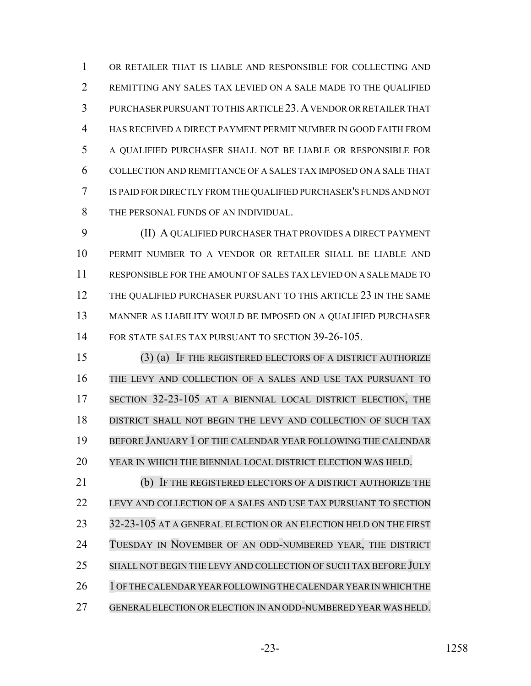OR RETAILER THAT IS LIABLE AND RESPONSIBLE FOR COLLECTING AND REMITTING ANY SALES TAX LEVIED ON A SALE MADE TO THE QUALIFIED PURCHASER PURSUANT TO THIS ARTICLE 23.A VENDOR OR RETAILER THAT HAS RECEIVED A DIRECT PAYMENT PERMIT NUMBER IN GOOD FAITH FROM A QUALIFIED PURCHASER SHALL NOT BE LIABLE OR RESPONSIBLE FOR COLLECTION AND REMITTANCE OF A SALES TAX IMPOSED ON A SALE THAT IS PAID FOR DIRECTLY FROM THE QUALIFIED PURCHASER'S FUNDS AND NOT THE PERSONAL FUNDS OF AN INDIVIDUAL.

 (II) A QUALIFIED PURCHASER THAT PROVIDES A DIRECT PAYMENT PERMIT NUMBER TO A VENDOR OR RETAILER SHALL BE LIABLE AND RESPONSIBLE FOR THE AMOUNT OF SALES TAX LEVIED ON A SALE MADE TO 12 THE QUALIFIED PURCHASER PURSUANT TO THIS ARTICLE 23 IN THE SAME MANNER AS LIABILITY WOULD BE IMPOSED ON A QUALIFIED PURCHASER FOR STATE SALES TAX PURSUANT TO SECTION 39-26-105.

 (3) (a) IF THE REGISTERED ELECTORS OF A DISTRICT AUTHORIZE THE LEVY AND COLLECTION OF A SALES AND USE TAX PURSUANT TO 17 SECTION 32-23-105 AT A BIENNIAL LOCAL DISTRICT ELECTION, THE DISTRICT SHALL NOT BEGIN THE LEVY AND COLLECTION OF SUCH TAX BEFORE JANUARY 1 OF THE CALENDAR YEAR FOLLOWING THE CALENDAR YEAR IN WHICH THE BIENNIAL LOCAL DISTRICT ELECTION WAS HELD.

 (b) IF THE REGISTERED ELECTORS OF A DISTRICT AUTHORIZE THE LEVY AND COLLECTION OF A SALES AND USE TAX PURSUANT TO SECTION 23 32-23-105 AT A GENERAL ELECTION OR AN ELECTION HELD ON THE FIRST 24 TUESDAY IN NOVEMBER OF AN ODD-NUMBERED YEAR, THE DISTRICT SHALL NOT BEGIN THE LEVY AND COLLECTION OF SUCH TAX BEFORE JULY 26 1 OF THE CALENDAR YEAR FOLLOWING THE CALENDAR YEAR IN WHICH THE GENERAL ELECTION OR ELECTION IN AN ODD-NUMBERED YEAR WAS HELD.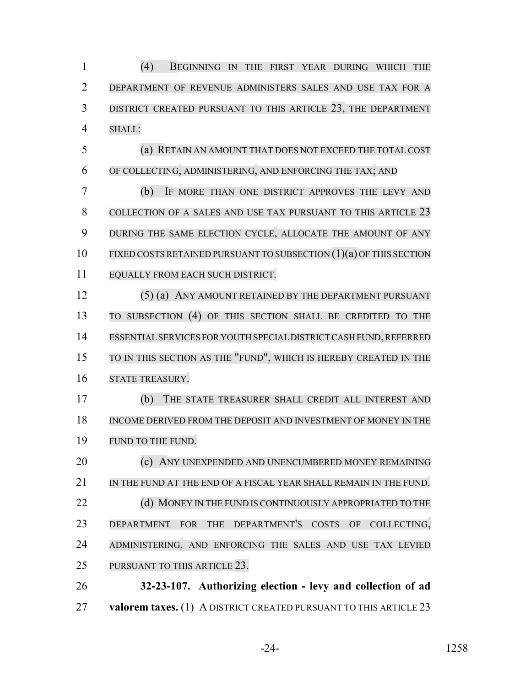(4) BEGINNING IN THE FIRST YEAR DURING WHICH THE DEPARTMENT OF REVENUE ADMINISTERS SALES AND USE TAX FOR A 3 DISTRICT CREATED PURSUANT TO THIS ARTICLE 23, THE DEPARTMENT SHALL:

 (a) RETAIN AN AMOUNT THAT DOES NOT EXCEED THE TOTAL COST OF COLLECTING, ADMINISTERING, AND ENFORCING THE TAX; AND

 (b) IF MORE THAN ONE DISTRICT APPROVES THE LEVY AND COLLECTION OF A SALES AND USE TAX PURSUANT TO THIS ARTICLE 23 DURING THE SAME ELECTION CYCLE, ALLOCATE THE AMOUNT OF ANY FIXED COSTS RETAINED PURSUANT TO SUBSECTION (1)(a) OF THIS SECTION EQUALLY FROM EACH SUCH DISTRICT.

12 (5) (a) ANY AMOUNT RETAINED BY THE DEPARTMENT PURSUANT TO SUBSECTION (4) OF THIS SECTION SHALL BE CREDITED TO THE ESSENTIALSERVICES FOR YOUTH SPECIAL DISTRICT CASH FUND,REFERRED TO IN THIS SECTION AS THE "FUND", WHICH IS HEREBY CREATED IN THE STATE TREASURY.

 (b) THE STATE TREASURER SHALL CREDIT ALL INTEREST AND INCOME DERIVED FROM THE DEPOSIT AND INVESTMENT OF MONEY IN THE FUND TO THE FUND.

**(c) ANY UNEXPENDED AND UNENCUMBERED MONEY REMAINING**  IN THE FUND AT THE END OF A FISCAL YEAR SHALL REMAIN IN THE FUND. 22 (d) MONEY IN THE FUND IS CONTINUOUSLY APPROPRIATED TO THE DEPARTMENT FOR THE DEPARTMENT'S COSTS OF COLLECTING, 24 ADMINISTERING, AND ENFORCING THE SALES AND USE TAX LEVIED PURSUANT TO THIS ARTICLE 23.

 **32-23-107. Authorizing election - levy and collection of ad valorem taxes.** (1) A DISTRICT CREATED PURSUANT TO THIS ARTICLE 23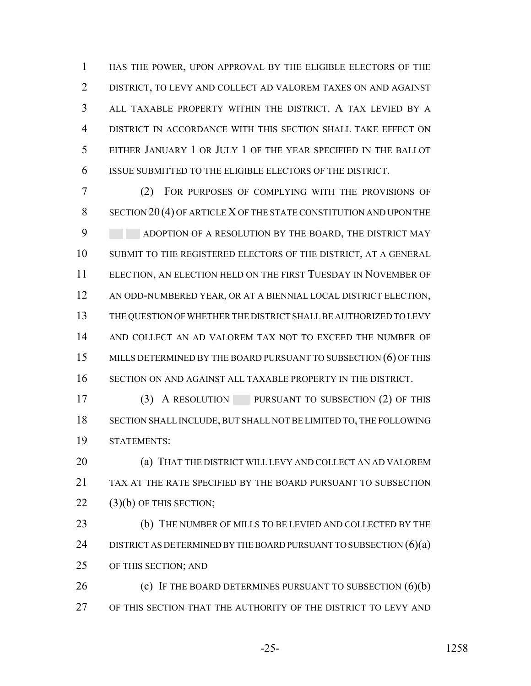HAS THE POWER, UPON APPROVAL BY THE ELIGIBLE ELECTORS OF THE DISTRICT, TO LEVY AND COLLECT AD VALOREM TAXES ON AND AGAINST ALL TAXABLE PROPERTY WITHIN THE DISTRICT. A TAX LEVIED BY A DISTRICT IN ACCORDANCE WITH THIS SECTION SHALL TAKE EFFECT ON EITHER JANUARY 1 OR JULY 1 OF THE YEAR SPECIFIED IN THE BALLOT ISSUE SUBMITTED TO THE ELIGIBLE ELECTORS OF THE DISTRICT.

 (2) FOR PURPOSES OF COMPLYING WITH THE PROVISIONS OF 8 SECTION 20(4) OF ARTICLE X OF THE STATE CONSTITUTION AND UPON THE 9 ADOPTION OF A RESOLUTION BY THE BOARD, THE DISTRICT MAY SUBMIT TO THE REGISTERED ELECTORS OF THE DISTRICT, AT A GENERAL ELECTION, AN ELECTION HELD ON THE FIRST TUESDAY IN NOVEMBER OF AN ODD-NUMBERED YEAR, OR AT A BIENNIAL LOCAL DISTRICT ELECTION, THE QUESTION OF WHETHER THE DISTRICT SHALL BE AUTHORIZED TO LEVY AND COLLECT AN AD VALOREM TAX NOT TO EXCEED THE NUMBER OF 15 MILLS DETERMINED BY THE BOARD PURSUANT TO SUBSECTION (6) OF THIS SECTION ON AND AGAINST ALL TAXABLE PROPERTY IN THE DISTRICT.

 (3) A RESOLUTION PURSUANT TO SUBSECTION (2) OF THIS SECTION SHALL INCLUDE, BUT SHALL NOT BE LIMITED TO, THE FOLLOWING STATEMENTS:

 (a) THAT THE DISTRICT WILL LEVY AND COLLECT AN AD VALOREM TAX AT THE RATE SPECIFIED BY THE BOARD PURSUANT TO SUBSECTION 22 (3)(b) OF THIS SECTION;

 (b) THE NUMBER OF MILLS TO BE LEVIED AND COLLECTED BY THE 24 DISTRICT AS DETERMINED BY THE BOARD PURSUANT TO SUBSECTION  $(6)(a)$ OF THIS SECTION; AND

26 (c) IF THE BOARD DETERMINES PURSUANT TO SUBSECTION (6)(b) OF THIS SECTION THAT THE AUTHORITY OF THE DISTRICT TO LEVY AND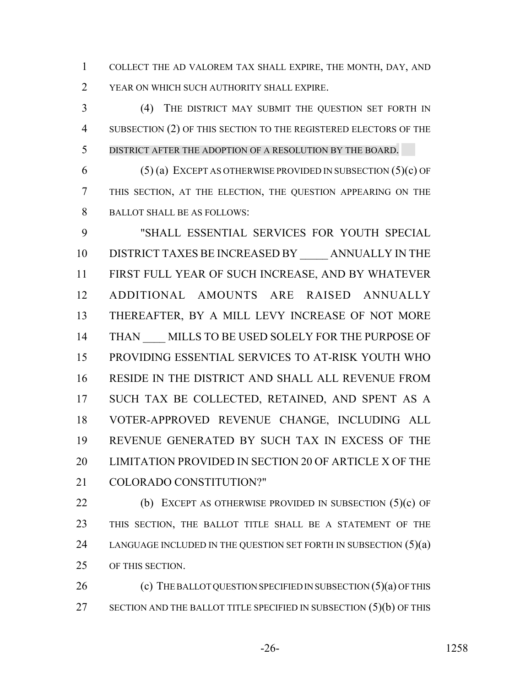COLLECT THE AD VALOREM TAX SHALL EXPIRE, THE MONTH, DAY, AND YEAR ON WHICH SUCH AUTHORITY SHALL EXPIRE.

 (4) THE DISTRICT MAY SUBMIT THE QUESTION SET FORTH IN SUBSECTION (2) OF THIS SECTION TO THE REGISTERED ELECTORS OF THE DISTRICT AFTER THE ADOPTION OF A RESOLUTION BY THE BOARD.

6 (5) (a) EXCEPT AS OTHERWISE PROVIDED IN SUBSECTION  $(5)(c)$  OF THIS SECTION, AT THE ELECTION, THE QUESTION APPEARING ON THE BALLOT SHALL BE AS FOLLOWS:

 "SHALL ESSENTIAL SERVICES FOR YOUTH SPECIAL 10 DISTRICT TAXES BE INCREASED BY ANNUALLY IN THE FIRST FULL YEAR OF SUCH INCREASE, AND BY WHATEVER ADDITIONAL AMOUNTS ARE RAISED ANNUALLY THEREAFTER, BY A MILL LEVY INCREASE OF NOT MORE 14 THAN MILLS TO BE USED SOLELY FOR THE PURPOSE OF PROVIDING ESSENTIAL SERVICES TO AT-RISK YOUTH WHO RESIDE IN THE DISTRICT AND SHALL ALL REVENUE FROM SUCH TAX BE COLLECTED, RETAINED, AND SPENT AS A VOTER-APPROVED REVENUE CHANGE, INCLUDING ALL REVENUE GENERATED BY SUCH TAX IN EXCESS OF THE LIMITATION PROVIDED IN SECTION 20 OF ARTICLE X OF THE COLORADO CONSTITUTION?"

22 (b) EXCEPT AS OTHERWISE PROVIDED IN SUBSECTION  $(5)(c)$  OF THIS SECTION, THE BALLOT TITLE SHALL BE A STATEMENT OF THE 24 LANGUAGE INCLUDED IN THE QUESTION SET FORTH IN SUBSECTION  $(5)(a)$ OF THIS SECTION.

26 (c) THE BALLOT QUESTION SPECIFIED IN SUBSECTION (5)(a) OF THIS 27 SECTION AND THE BALLOT TITLE SPECIFIED IN SUBSECTION (5)(b) OF THIS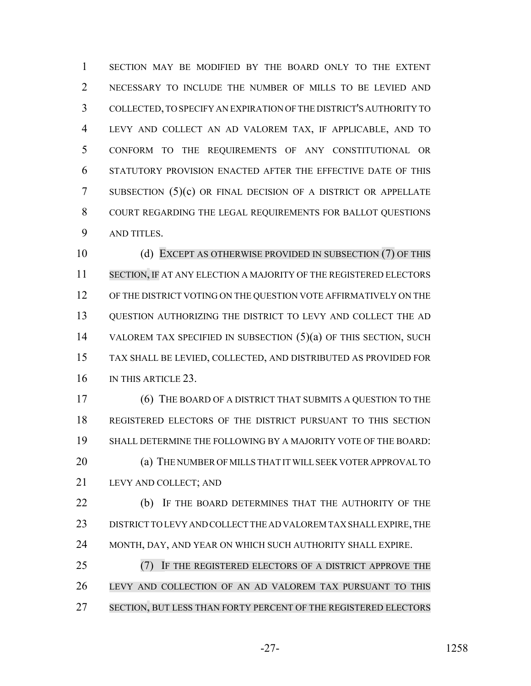SECTION MAY BE MODIFIED BY THE BOARD ONLY TO THE EXTENT NECESSARY TO INCLUDE THE NUMBER OF MILLS TO BE LEVIED AND COLLECTED, TO SPECIFY AN EXPIRATION OF THE DISTRICT'S AUTHORITY TO LEVY AND COLLECT AN AD VALOREM TAX, IF APPLICABLE, AND TO CONFORM TO THE REQUIREMENTS OF ANY CONSTITUTIONAL OR STATUTORY PROVISION ENACTED AFTER THE EFFECTIVE DATE OF THIS SUBSECTION (5)(c) OR FINAL DECISION OF A DISTRICT OR APPELLATE COURT REGARDING THE LEGAL REQUIREMENTS FOR BALLOT QUESTIONS AND TITLES.

10 (d) EXCEPT AS OTHERWISE PROVIDED IN SUBSECTION (7) OF THIS 11 SECTION, IF AT ANY ELECTION A MAJORITY OF THE REGISTERED ELECTORS OF THE DISTRICT VOTING ON THE QUESTION VOTE AFFIRMATIVELY ON THE QUESTION AUTHORIZING THE DISTRICT TO LEVY AND COLLECT THE AD VALOREM TAX SPECIFIED IN SUBSECTION (5)(a) OF THIS SECTION, SUCH TAX SHALL BE LEVIED, COLLECTED, AND DISTRIBUTED AS PROVIDED FOR IN THIS ARTICLE 23.

 (6) THE BOARD OF A DISTRICT THAT SUBMITS A QUESTION TO THE REGISTERED ELECTORS OF THE DISTRICT PURSUANT TO THIS SECTION SHALL DETERMINE THE FOLLOWING BY A MAJORITY VOTE OF THE BOARD: **(a) THE NUMBER OF MILLS THAT IT WILL SEEK VOTER APPROVAL TO** LEVY AND COLLECT; AND

**(b)** IF THE BOARD DETERMINES THAT THE AUTHORITY OF THE DISTRICT TO LEVY AND COLLECT THE AD VALOREM TAX SHALL EXPIRE, THE MONTH, DAY, AND YEAR ON WHICH SUCH AUTHORITY SHALL EXPIRE.

 (7) IF THE REGISTERED ELECTORS OF A DISTRICT APPROVE THE LEVY AND COLLECTION OF AN AD VALOREM TAX PURSUANT TO THIS SECTION, BUT LESS THAN FORTY PERCENT OF THE REGISTERED ELECTORS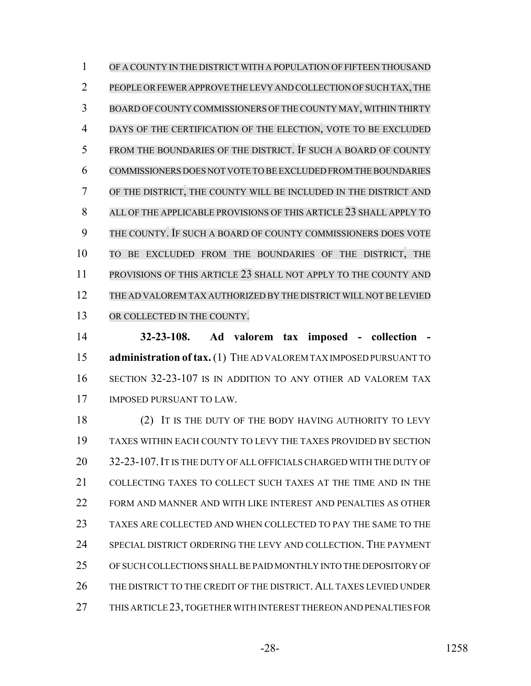OF A COUNTY IN THE DISTRICT WITH A POPULATION OF FIFTEEN THOUSAND PEOPLE ORFEWER APPROVE THE LEVY AND COLLECTION OF SUCH TAX, THE BOARD OFCOUNTY COMMISSIONERS OF THE COUNTY MAY, WITHIN THIRTY DAYS OF THE CERTIFICATION OF THE ELECTION, VOTE TO BE EXCLUDED FROM THE BOUNDARIES OF THE DISTRICT. IF SUCH A BOARD OF COUNTY COMMISSIONERS DOES NOT VOTE TO BE EXCLUDED FROM THE BOUNDARIES OF THE DISTRICT, THE COUNTY WILL BE INCLUDED IN THE DISTRICT AND ALL OF THE APPLICABLE PROVISIONS OF THIS ARTICLE 23 SHALL APPLY TO THE COUNTY. IF SUCH A BOARD OF COUNTY COMMISSIONERS DOES VOTE TO BE EXCLUDED FROM THE BOUNDARIES OF THE DISTRICT, THE 11 PROVISIONS OF THIS ARTICLE 23 SHALL NOT APPLY TO THE COUNTY AND THE AD VALOREM TAX AUTHORIZED BY THE DISTRICT WILL NOT BE LEVIED 13 OR COLLECTED IN THE COUNTY.

 **32-23-108. Ad valorem tax imposed - collection - administration of tax.** (1) THE AD VALOREM TAX IMPOSED PURSUANT TO SECTION 32-23-107 IS IN ADDITION TO ANY OTHER AD VALOREM TAX IMPOSED PURSUANT TO LAW.

18 (2) IT IS THE DUTY OF THE BODY HAVING AUTHORITY TO LEVY TAXES WITHIN EACH COUNTY TO LEVY THE TAXES PROVIDED BY SECTION 32-23-107.IT IS THE DUTY OF ALL OFFICIALS CHARGED WITH THE DUTY OF COLLECTING TAXES TO COLLECT SUCH TAXES AT THE TIME AND IN THE FORM AND MANNER AND WITH LIKE INTEREST AND PENALTIES AS OTHER TAXES ARE COLLECTED AND WHEN COLLECTED TO PAY THE SAME TO THE SPECIAL DISTRICT ORDERING THE LEVY AND COLLECTION. THE PAYMENT OF SUCH COLLECTIONS SHALL BE PAID MONTHLY INTO THE DEPOSITORY OF 26 THE DISTRICT TO THE CREDIT OF THE DISTRICT. ALL TAXES LEVIED UNDER THIS ARTICLE 23, TOGETHER WITH INTEREST THEREON AND PENALTIES FOR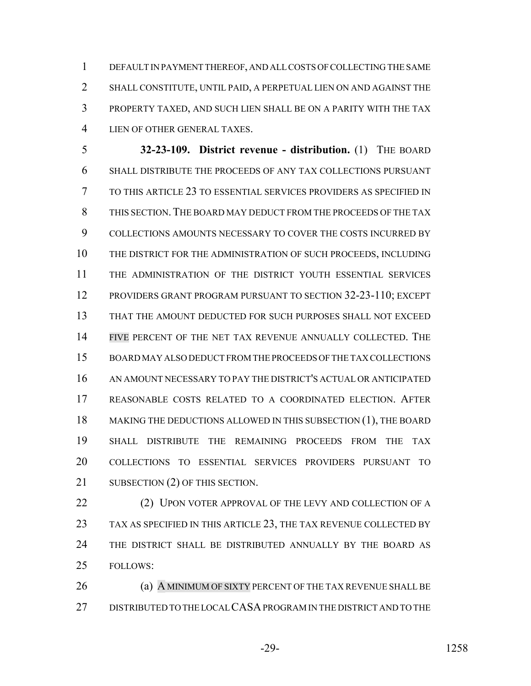DEFAULT IN PAYMENT THEREOF, AND ALL COSTS OF COLLECTING THE SAME SHALL CONSTITUTE, UNTIL PAID, A PERPETUAL LIEN ON AND AGAINST THE PROPERTY TAXED, AND SUCH LIEN SHALL BE ON A PARITY WITH THE TAX LIEN OF OTHER GENERAL TAXES.

 **32-23-109. District revenue - distribution.** (1) THE BOARD SHALL DISTRIBUTE THE PROCEEDS OF ANY TAX COLLECTIONS PURSUANT TO THIS ARTICLE 23 TO ESSENTIAL SERVICES PROVIDERS AS SPECIFIED IN THIS SECTION.THE BOARD MAY DEDUCT FROM THE PROCEEDS OF THE TAX COLLECTIONS AMOUNTS NECESSARY TO COVER THE COSTS INCURRED BY THE DISTRICT FOR THE ADMINISTRATION OF SUCH PROCEEDS, INCLUDING THE ADMINISTRATION OF THE DISTRICT YOUTH ESSENTIAL SERVICES PROVIDERS GRANT PROGRAM PURSUANT TO SECTION 32-23-110; EXCEPT THAT THE AMOUNT DEDUCTED FOR SUCH PURPOSES SHALL NOT EXCEED FIVE PERCENT OF THE NET TAX REVENUE ANNUALLY COLLECTED. THE BOARD MAY ALSO DEDUCT FROM THE PROCEEDS OF THE TAX COLLECTIONS AN AMOUNT NECESSARY TO PAY THE DISTRICT'S ACTUAL OR ANTICIPATED REASONABLE COSTS RELATED TO A COORDINATED ELECTION. AFTER MAKING THE DEDUCTIONS ALLOWED IN THIS SUBSECTION (1), THE BOARD SHALL DISTRIBUTE THE REMAINING PROCEEDS FROM THE TAX COLLECTIONS TO ESSENTIAL SERVICES PROVIDERS PURSUANT TO 21 SUBSECTION (2) OF THIS SECTION.

22 (2) UPON VOTER APPROVAL OF THE LEVY AND COLLECTION OF A 23 TAX AS SPECIFIED IN THIS ARTICLE 23, THE TAX REVENUE COLLECTED BY THE DISTRICT SHALL BE DISTRIBUTED ANNUALLY BY THE BOARD AS FOLLOWS:

26 (a) A MINIMUM OF SIXTY PERCENT OF THE TAX REVENUE SHALL BE DISTRIBUTED TO THE LOCAL CASA PROGRAM IN THE DISTRICT AND TO THE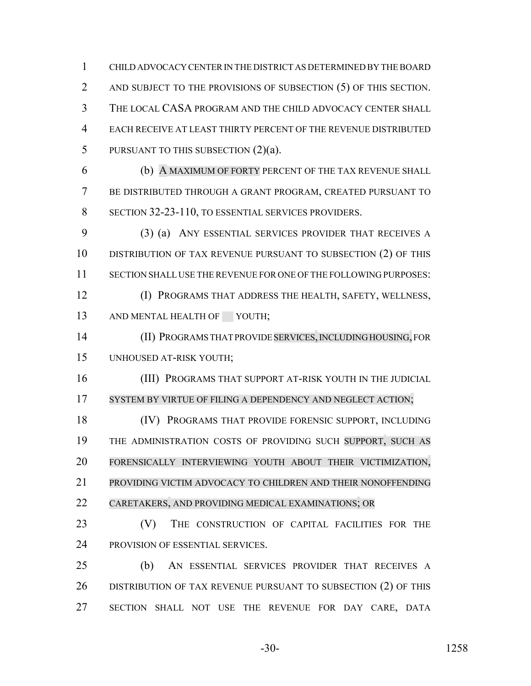CHILD ADVOCACY CENTER IN THE DISTRICT AS DETERMINED BY THE BOARD 2 AND SUBJECT TO THE PROVISIONS OF SUBSECTION (5) OF THIS SECTION. THE LOCAL CASA PROGRAM AND THE CHILD ADVOCACY CENTER SHALL EACH RECEIVE AT LEAST THIRTY PERCENT OF THE REVENUE DISTRIBUTED 5 PURSUANT TO THIS SUBSECTION (2)(a).

 (b) A MAXIMUM OF FORTY PERCENT OF THE TAX REVENUE SHALL BE DISTRIBUTED THROUGH A GRANT PROGRAM, CREATED PURSUANT TO SECTION 32-23-110, TO ESSENTIAL SERVICES PROVIDERS.

 (3) (a) ANY ESSENTIAL SERVICES PROVIDER THAT RECEIVES A DISTRIBUTION OF TAX REVENUE PURSUANT TO SUBSECTION (2) OF THIS SECTION SHALL USE THE REVENUE FOR ONE OF THE FOLLOWING PURPOSES: (I) PROGRAMS THAT ADDRESS THE HEALTH, SAFETY, WELLNESS,

13 AND MENTAL HEALTH OF YOUTH;

 (II) PROGRAMS THAT PROVIDE SERVICES, INCLUDING HOUSING, FOR UNHOUSED AT-RISK YOUTH;

**(III) PROGRAMS THAT SUPPORT AT-RISK YOUTH IN THE JUDICIAL** 17 SYSTEM BY VIRTUE OF FILING A DEPENDENCY AND NEGLECT ACTION;

18 (IV) PROGRAMS THAT PROVIDE FORENSIC SUPPORT, INCLUDING THE ADMINISTRATION COSTS OF PROVIDING SUCH SUPPORT, SUCH AS FORENSICALLY INTERVIEWING YOUTH ABOUT THEIR VICTIMIZATION, PROVIDING VICTIM ADVOCACY TO CHILDREN AND THEIR NONOFFENDING CARETAKERS, AND PROVIDING MEDICAL EXAMINATIONS; OR

23 (V) THE CONSTRUCTION OF CAPITAL FACILITIES FOR THE PROVISION OF ESSENTIAL SERVICES.

 (b) AN ESSENTIAL SERVICES PROVIDER THAT RECEIVES A 26 DISTRIBUTION OF TAX REVENUE PURSUANT TO SUBSECTION (2) OF THIS SECTION SHALL NOT USE THE REVENUE FOR DAY CARE, DATA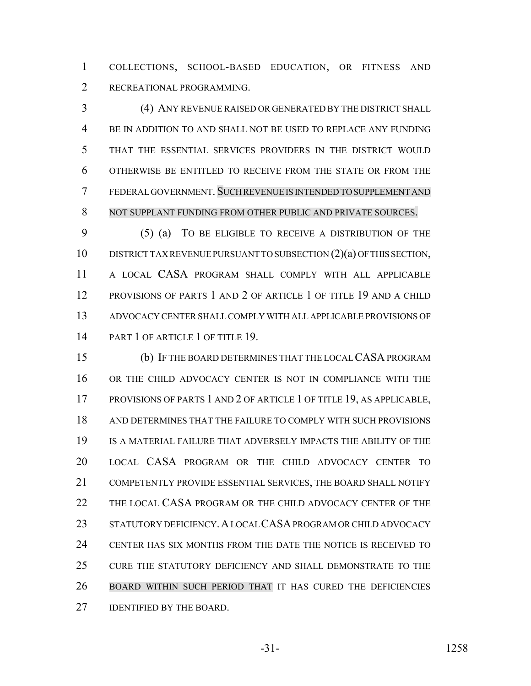COLLECTIONS, SCHOOL-BASED EDUCATION, OR FITNESS AND RECREATIONAL PROGRAMMING.

 (4) ANY REVENUE RAISED OR GENERATED BY THE DISTRICT SHALL BE IN ADDITION TO AND SHALL NOT BE USED TO REPLACE ANY FUNDING THAT THE ESSENTIAL SERVICES PROVIDERS IN THE DISTRICT WOULD OTHERWISE BE ENTITLED TO RECEIVE FROM THE STATE OR FROM THE FEDERAL GOVERNMENT. SUCH REVENUE IS INTENDED TO SUPPLEMENT AND NOT SUPPLANT FUNDING FROM OTHER PUBLIC AND PRIVATE SOURCES.

 (5) (a) TO BE ELIGIBLE TO RECEIVE A DISTRIBUTION OF THE DISTRICT TAX REVENUE PURSUANT TO SUBSECTION (2)(a) OF THIS SECTION, A LOCAL CASA PROGRAM SHALL COMPLY WITH ALL APPLICABLE PROVISIONS OF PARTS 1 AND 2 OF ARTICLE 1 OF TITLE 19 AND A CHILD ADVOCACY CENTER SHALL COMPLY WITH ALL APPLICABLE PROVISIONS OF 14 PART 1 OF ARTICLE 1 OF TITLE 19.

 (b) IF THE BOARD DETERMINES THAT THE LOCAL CASA PROGRAM OR THE CHILD ADVOCACY CENTER IS NOT IN COMPLIANCE WITH THE PROVISIONS OF PARTS 1 AND 2 OF ARTICLE 1 OF TITLE 19, AS APPLICABLE, AND DETERMINES THAT THE FAILURE TO COMPLY WITH SUCH PROVISIONS IS A MATERIAL FAILURE THAT ADVERSELY IMPACTS THE ABILITY OF THE LOCAL CASA PROGRAM OR THE CHILD ADVOCACY CENTER TO COMPETENTLY PROVIDE ESSENTIAL SERVICES, THE BOARD SHALL NOTIFY THE LOCAL CASA PROGRAM OR THE CHILD ADVOCACY CENTER OF THE STATUTORY DEFICIENCY.A LOCAL CASA PROGRAM OR CHILD ADVOCACY CENTER HAS SIX MONTHS FROM THE DATE THE NOTICE IS RECEIVED TO CURE THE STATUTORY DEFICIENCY AND SHALL DEMONSTRATE TO THE BOARD WITHIN SUCH PERIOD THAT IT HAS CURED THE DEFICIENCIES **IDENTIFIED BY THE BOARD.**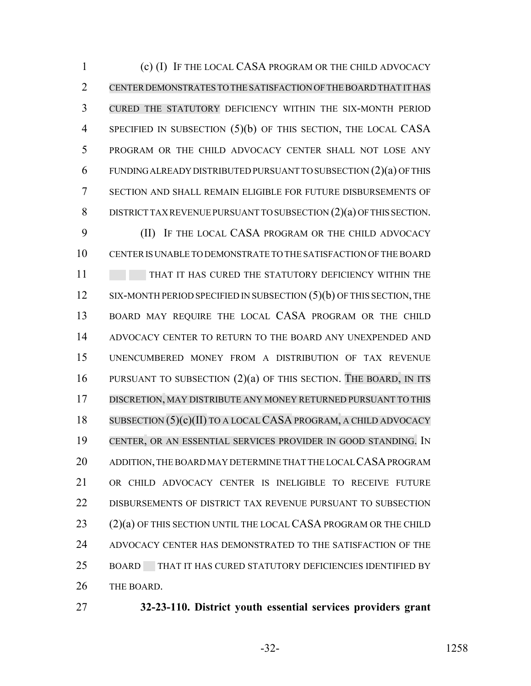(c) (I) IF THE LOCAL CASA PROGRAM OR THE CHILD ADVOCACY CENTER DEMONSTRATES TO THE SATISFACTION OF THE BOARD THAT IT HAS CURED THE STATUTORY DEFICIENCY WITHIN THE SIX-MONTH PERIOD 4 SPECIFIED IN SUBSECTION (5)(b) OF THIS SECTION, THE LOCAL CASA PROGRAM OR THE CHILD ADVOCACY CENTER SHALL NOT LOSE ANY FUNDING ALREADY DISTRIBUTED PURSUANT TO SUBSECTION (2)(a) OF THIS SECTION AND SHALL REMAIN ELIGIBLE FOR FUTURE DISBURSEMENTS OF 8 DISTRICT TAX REVENUE PURSUANT TO SUBSECTION (2)(a) OF THIS SECTION.

 (II) IF THE LOCAL CASA PROGRAM OR THE CHILD ADVOCACY CENTER IS UNABLE TO DEMONSTRATE TO THE SATISFACTION OF THE BOARD 11 THAT IT HAS CURED THE STATUTORY DEFICIENCY WITHIN THE 12 SIX-MONTH PERIOD SPECIFIED IN SUBSECTION (5)(b) OF THIS SECTION, THE BOARD MAY REQUIRE THE LOCAL CASA PROGRAM OR THE CHILD ADVOCACY CENTER TO RETURN TO THE BOARD ANY UNEXPENDED AND UNENCUMBERED MONEY FROM A DISTRIBUTION OF TAX REVENUE PURSUANT TO SUBSECTION (2)(a) OF THIS SECTION. THE BOARD, IN ITS DISCRETION, MAY DISTRIBUTE ANY MONEY RETURNED PURSUANT TO THIS SUBSECTION (5)(c)(II) TO A LOCALCASA PROGRAM, A CHILD ADVOCACY CENTER, OR AN ESSENTIAL SERVICES PROVIDER IN GOOD STANDING. IN ADDITION, THE BOARD MAY DETERMINE THAT THE LOCAL CASA PROGRAM OR CHILD ADVOCACY CENTER IS INELIGIBLE TO RECEIVE FUTURE DISBURSEMENTS OF DISTRICT TAX REVENUE PURSUANT TO SUBSECTION (2)(a) OF THIS SECTION UNTIL THE LOCAL CASA PROGRAM OR THE CHILD ADVOCACY CENTER HAS DEMONSTRATED TO THE SATISFACTION OF THE BOARD THAT IT HAS CURED STATUTORY DEFICIENCIES IDENTIFIED BY THE BOARD.

- 
- **32-23-110. District youth essential services providers grant**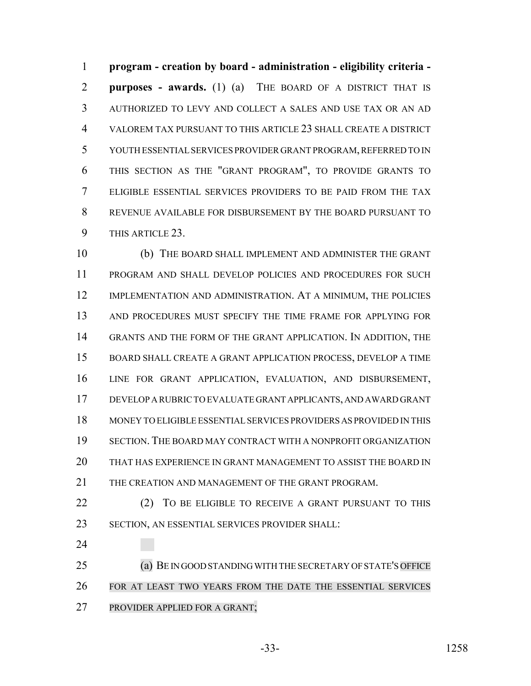**program - creation by board - administration - eligibility criteria - purposes - awards.** (1) (a) THE BOARD OF A DISTRICT THAT IS AUTHORIZED TO LEVY AND COLLECT A SALES AND USE TAX OR AN AD VALOREM TAX PURSUANT TO THIS ARTICLE 23 SHALL CREATE A DISTRICT YOUTH ESSENTIAL SERVICES PROVIDER GRANT PROGRAM, REFERRED TO IN THIS SECTION AS THE "GRANT PROGRAM", TO PROVIDE GRANTS TO ELIGIBLE ESSENTIAL SERVICES PROVIDERS TO BE PAID FROM THE TAX REVENUE AVAILABLE FOR DISBURSEMENT BY THE BOARD PURSUANT TO THIS ARTICLE 23.

 (b) THE BOARD SHALL IMPLEMENT AND ADMINISTER THE GRANT PROGRAM AND SHALL DEVELOP POLICIES AND PROCEDURES FOR SUCH 12 IMPLEMENTATION AND ADMINISTRATION. AT A MINIMUM, THE POLICIES AND PROCEDURES MUST SPECIFY THE TIME FRAME FOR APPLYING FOR GRANTS AND THE FORM OF THE GRANT APPLICATION. IN ADDITION, THE BOARD SHALL CREATE A GRANT APPLICATION PROCESS, DEVELOP A TIME LINE FOR GRANT APPLICATION, EVALUATION, AND DISBURSEMENT, DEVELOP A RUBRIC TO EVALUATE GRANT APPLICANTS, AND AWARD GRANT MONEY TO ELIGIBLE ESSENTIAL SERVICES PROVIDERS AS PROVIDED IN THIS SECTION. THE BOARD MAY CONTRACT WITH A NONPROFIT ORGANIZATION THAT HAS EXPERIENCE IN GRANT MANAGEMENT TO ASSIST THE BOARD IN THE CREATION AND MANAGEMENT OF THE GRANT PROGRAM.

22 (2) TO BE ELIGIBLE TO RECEIVE A GRANT PURSUANT TO THIS SECTION, AN ESSENTIAL SERVICES PROVIDER SHALL:

 (a) BE IN GOOD STANDING WITH THE SECRETARY OF STATE'S OFFICE FOR AT LEAST TWO YEARS FROM THE DATE THE ESSENTIAL SERVICES PROVIDER APPLIED FOR A GRANT;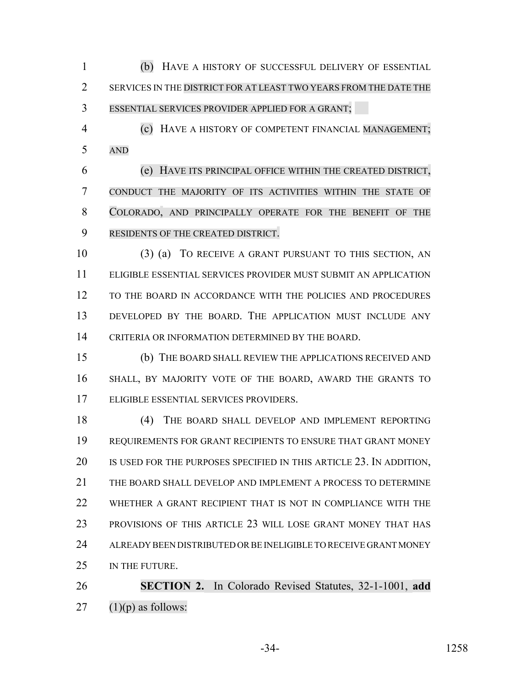(b) HAVE A HISTORY OF SUCCESSFUL DELIVERY OF ESSENTIAL 2 SERVICES IN THE DISTRICT FOR AT LEAST TWO YEARS FROM THE DATE THE ESSENTIAL SERVICES PROVIDER APPLIED FOR A GRANT;

 (c) HAVE A HISTORY OF COMPETENT FINANCIAL MANAGEMENT; AND

 (e) HAVE ITS PRINCIPAL OFFICE WITHIN THE CREATED DISTRICT, CONDUCT THE MAJORITY OF ITS ACTIVITIES WITHIN THE STATE OF COLORADO, AND PRINCIPALLY OPERATE FOR THE BENEFIT OF THE RESIDENTS OF THE CREATED DISTRICT.

 (3) (a) TO RECEIVE A GRANT PURSUANT TO THIS SECTION, AN ELIGIBLE ESSENTIAL SERVICES PROVIDER MUST SUBMIT AN APPLICATION TO THE BOARD IN ACCORDANCE WITH THE POLICIES AND PROCEDURES DEVELOPED BY THE BOARD. THE APPLICATION MUST INCLUDE ANY CRITERIA OR INFORMATION DETERMINED BY THE BOARD.

 (b) THE BOARD SHALL REVIEW THE APPLICATIONS RECEIVED AND SHALL, BY MAJORITY VOTE OF THE BOARD, AWARD THE GRANTS TO ELIGIBLE ESSENTIAL SERVICES PROVIDERS.

 (4) THE BOARD SHALL DEVELOP AND IMPLEMENT REPORTING REQUIREMENTS FOR GRANT RECIPIENTS TO ENSURE THAT GRANT MONEY 20 IS USED FOR THE PURPOSES SPECIFIED IN THIS ARTICLE 23. IN ADDITION, THE BOARD SHALL DEVELOP AND IMPLEMENT A PROCESS TO DETERMINE WHETHER A GRANT RECIPIENT THAT IS NOT IN COMPLIANCE WITH THE PROVISIONS OF THIS ARTICLE 23 WILL LOSE GRANT MONEY THAT HAS ALREADY BEEN DISTRIBUTED OR BE INELIGIBLE TO RECEIVE GRANT MONEY IN THE FUTURE.

 **SECTION 2.** In Colorado Revised Statutes, 32-1-1001, **add** 27  $(1)(p)$  as follows:

-34- 1258